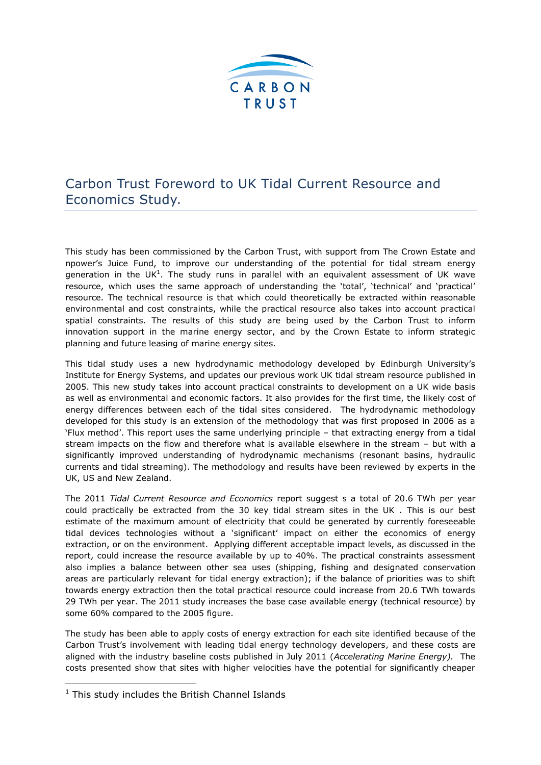

## Carbon Trust Foreword to UK Tidal Current Resource and Economics Study.

This study has been commissioned by the Carbon Trust, with support from The Crown Estate and npower's Juice Fund, to improve our understanding of the potential for tidal stream energy generation in the UK $1$ . The study runs in parallel with an equivalent assessment of UK wave resource, which uses the same approach of understanding the 'total', 'technical' and 'practical' resource. The technical resource is that which could theoretically be extracted within reasonable environmental and cost constraints, while the practical resource also takes into account practical spatial constraints. The results of this study are being used by the Carbon Trust to inform innovation support in the marine energy sector, and by the Crown Estate to inform strategic planning and future leasing of marine energy sites.

This tidal study uses a new hydrodynamic methodology developed by Edinburgh University's Institute for Energy Systems, and updates our previous work UK tidal stream resource published in 2005. This new study takes into account practical constraints to development on a UK wide basis as well as environmental and economic factors. It also provides for the first time, the likely cost of energy differences between each of the tidal sites considered. The hydrodynamic methodology developed for this study is an extension of the methodology that was first proposed in 2006 as a 'Flux method'. This report uses the same underlying principle – that extracting energy from a tidal stream impacts on the flow and therefore what is available elsewhere in the stream – but with a significantly improved understanding of hydrodynamic mechanisms (resonant basins, hydraulic currents and tidal streaming). The methodology and results have been reviewed by experts in the UK, US and New Zealand.

The 2011 *Tidal Current Resource and Economics* report suggest s a total of 20.6 TWh per year could practically be extracted from the 30 key tidal stream sites in the UK . This is our best estimate of the maximum amount of electricity that could be generated by currently foreseeable tidal devices technologies without a 'significant' impact on either the economics of energy extraction, or on the environment. Applying different acceptable impact levels, as discussed in the report, could increase the resource available by up to 40%. The practical constraints assessment also implies a balance between other sea uses (shipping, fishing and designated conservation areas are particularly relevant for tidal energy extraction); if the balance of priorities was to shift towards energy extraction then the total practical resource could increase from 20.6 TWh towards 29 TWh per year. The 2011 study increases the base case available energy (technical resource) by some 60% compared to the 2005 figure.

The study has been able to apply costs of energy extraction for each site identified because of the Carbon Trust's involvement with leading tidal energy technology developers, and these costs are aligned with the industry baseline costs published in July 2011 (*Accelerating Marine Energy).* The costs presented show that sites with higher velocities have the potential for significantly cheaper

-

 $1$  This study includes the British Channel Islands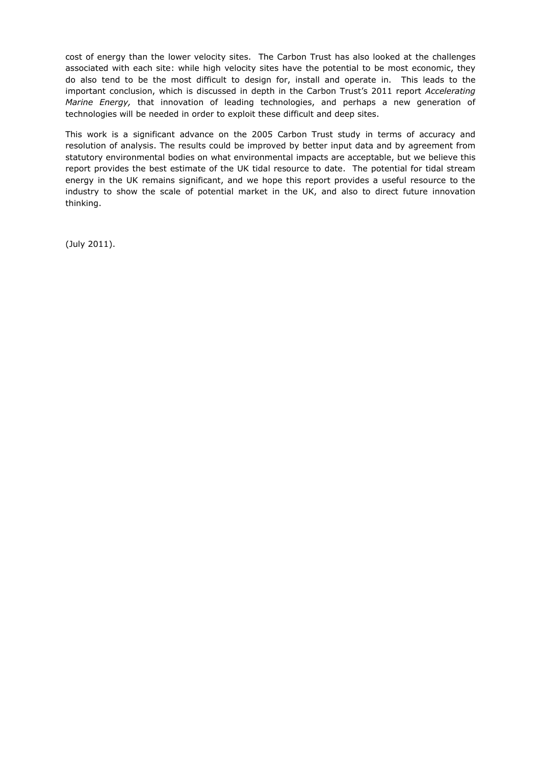cost of energy than the lower velocity sites. The Carbon Trust has also looked at the challenges associated with each site: while high velocity sites have the potential to be most economic, they do also tend to be the most difficult to design for, install and operate in. This leads to the important conclusion, which is discussed in depth in the Carbon Trust's 2011 report *Accelerating Marine Energy,* that innovation of leading technologies, and perhaps a new generation of technologies will be needed in order to exploit these difficult and deep sites.

This work is a significant advance on the 2005 Carbon Trust study in terms of accuracy and resolution of analysis. The results could be improved by better input data and by agreement from statutory environmental bodies on what environmental impacts are acceptable, but we believe this report provides the best estimate of the UK tidal resource to date. The potential for tidal stream energy in the UK remains significant, and we hope this report provides a useful resource to the industry to show the scale of potential market in the UK, and also to direct future innovation thinking.

(July 2011).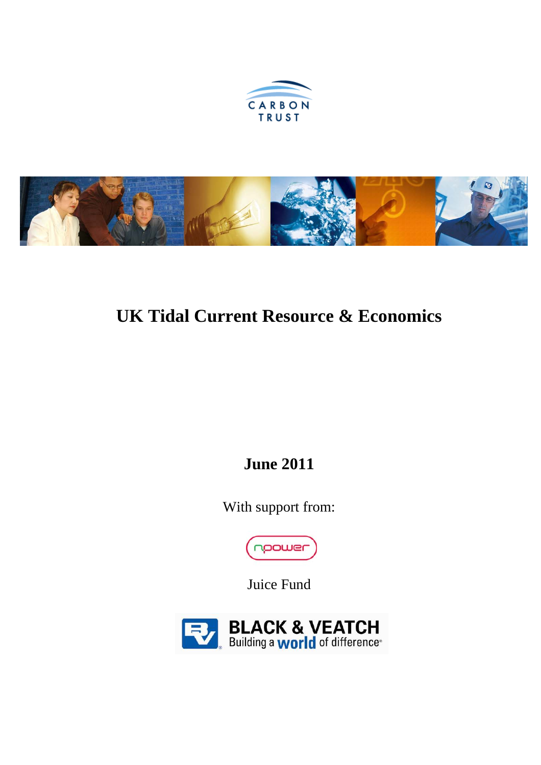



# **UK Tidal Current Resource & Economics**

**June 2011** 

With support from:



Juice Fund

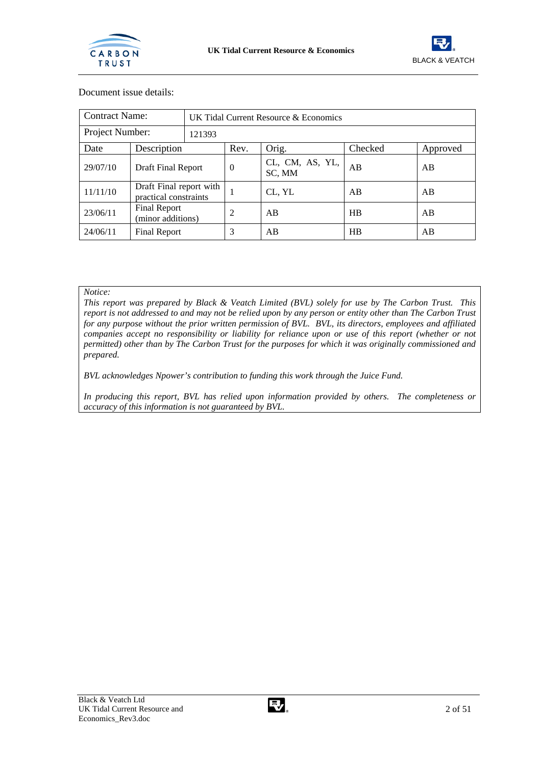



| Document issue details: |  |
|-------------------------|--|
|                         |  |

| <b>Contract Name:</b>     | UK Tidal Current Resource & Economics            |  |          |                           |         |          |
|---------------------------|--------------------------------------------------|--|----------|---------------------------|---------|----------|
| Project Number:<br>121393 |                                                  |  |          |                           |         |          |
| Date                      | Description                                      |  | Rev.     | Orig.                     | Checked | Approved |
| 29/07/10                  | Draft Final Report                               |  | $\theta$ | CL, CM, AS, YL,<br>SC, MM | AB      | AB       |
| 11/11/10                  | Draft Final report with<br>practical constraints |  |          | CL, YL                    | AB      | AB       |
| 23/06/11                  | Final Report<br>(minor additions)                |  | 2        | AB                        | HB      | AB       |
| 24/06/11                  | Final Report                                     |  | 3        | AB                        | HB      | AB       |

*Notice:* 

*This report was prepared by Black & Veatch Limited (BVL) solely for use by The Carbon Trust. This report is not addressed to and may not be relied upon by any person or entity other than The Carbon Trust for any purpose without the prior written permission of BVL. BVL, its directors, employees and affiliated companies accept no responsibility or liability for reliance upon or use of this report (whether or not permitted) other than by The Carbon Trust for the purposes for which it was originally commissioned and prepared.* 

*BVL acknowledges Npower's contribution to funding this work through the Juice Fund.* 

*In producing this report, BVL has relied upon information provided by others. The completeness or accuracy of this information is not guaranteed by BVL.*

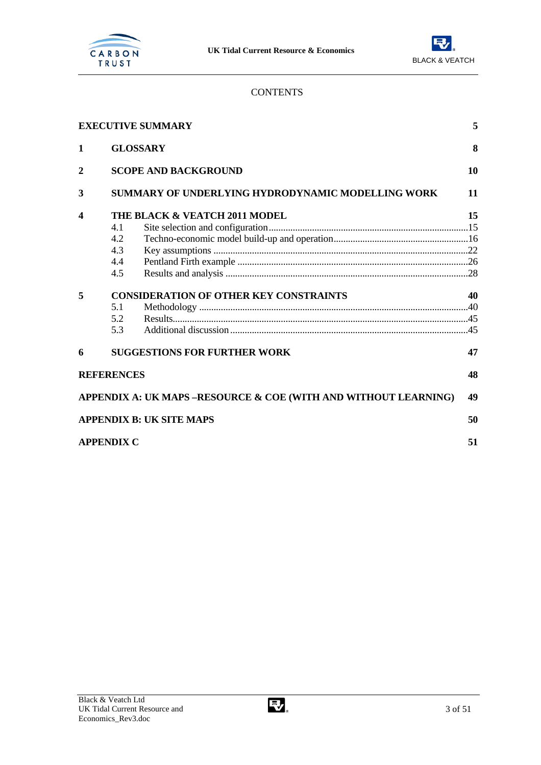



## **CONTENTS**

|                |                   | <b>EXECUTIVE SUMMARY</b>                                        | 5  |
|----------------|-------------------|-----------------------------------------------------------------|----|
| 1              |                   | <b>GLOSSARY</b>                                                 | 8  |
| $\overline{2}$ |                   | <b>SCOPE AND BACKGROUND</b>                                     | 10 |
| 3              |                   | <b>SUMMARY OF UNDERLYING HYDRODYNAMIC MODELLING WORK</b>        | 11 |
| 4              |                   | THE BLACK & VEATCH 2011 MODEL                                   | 15 |
|                | 4.1               |                                                                 |    |
|                | 4.2               |                                                                 |    |
|                | 4.3               |                                                                 |    |
|                | 4.4               |                                                                 |    |
|                | 4.5               |                                                                 |    |
| 5              |                   | <b>CONSIDERATION OF OTHER KEY CONSTRAINTS</b>                   | 40 |
|                | 5.1               |                                                                 |    |
|                | 5.2               |                                                                 |    |
|                | 5.3               |                                                                 |    |
| 6              |                   | <b>SUGGESTIONS FOR FURTHER WORK</b>                             | 47 |
|                | <b>REFERENCES</b> |                                                                 | 48 |
|                |                   | APPENDIX A: UK MAPS –RESOURCE & COE (WITH AND WITHOUT LEARNING) | 49 |
|                |                   | <b>APPENDIX B: UK SITE MAPS</b>                                 | 50 |
|                | <b>APPENDIX C</b> |                                                                 | 51 |

 $\overline{3}$  of 51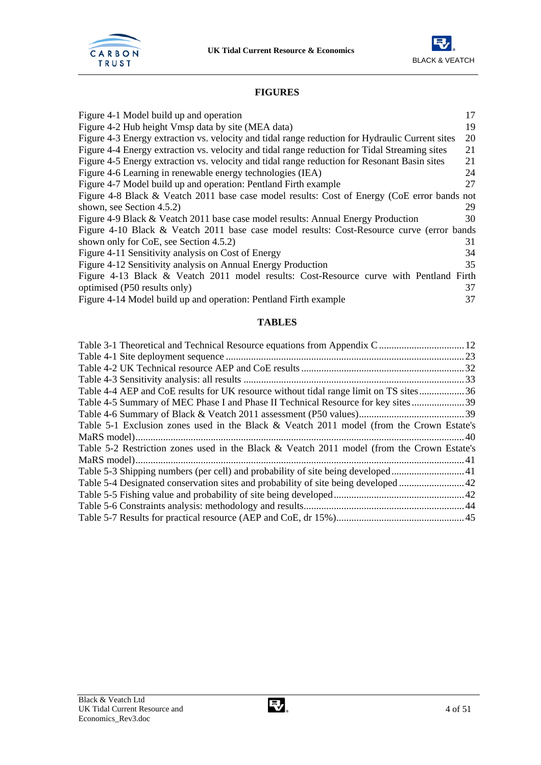



## **FIGURES**

| Figure 4-1 Model build up and operation                                                         | 17 |
|-------------------------------------------------------------------------------------------------|----|
| Figure 4-2 Hub height Vmsp data by site (MEA data)                                              | 19 |
| Figure 4-3 Energy extraction vs. velocity and tidal range reduction for Hydraulic Current sites | 20 |
| Figure 4-4 Energy extraction vs. velocity and tidal range reduction for Tidal Streaming sites   | 21 |
| Figure 4-5 Energy extraction vs. velocity and tidal range reduction for Resonant Basin sites    | 21 |
| Figure 4-6 Learning in renewable energy technologies (IEA)                                      | 24 |
| Figure 4-7 Model build up and operation: Pentland Firth example                                 | 27 |
| Figure 4-8 Black & Veatch 2011 base case model results: Cost of Energy (CoE error bands not     |    |
| shown, see Section 4.5.2)                                                                       | 29 |
| Figure 4-9 Black & Veatch 2011 base case model results: Annual Energy Production                | 30 |
| Figure 4-10 Black & Veatch 2011 base case model results: Cost-Resource curve (error bands       |    |
| shown only for CoE, see Section 4.5.2)                                                          | 31 |
| Figure 4-11 Sensitivity analysis on Cost of Energy                                              | 34 |
| Figure 4-12 Sensitivity analysis on Annual Energy Production                                    | 35 |
| Figure 4-13 Black & Veatch 2011 model results: Cost-Resource curve with Pentland Firth          |    |
| optimised (P50 results only)                                                                    | 37 |
| Figure 4-14 Model build up and operation: Pentland Firth example                                | 37 |

## **TABLES**

| Table 4-4 AEP and CoE results for UK resource without tidal range limit on TS sites36      |  |
|--------------------------------------------------------------------------------------------|--|
|                                                                                            |  |
|                                                                                            |  |
| Table 5-1 Exclusion zones used in the Black & Veatch 2011 model (from the Crown Estate's   |  |
|                                                                                            |  |
| Table 5-2 Restriction zones used in the Black & Veatch 2011 model (from the Crown Estate's |  |
|                                                                                            |  |
|                                                                                            |  |
|                                                                                            |  |
|                                                                                            |  |
|                                                                                            |  |
|                                                                                            |  |
|                                                                                            |  |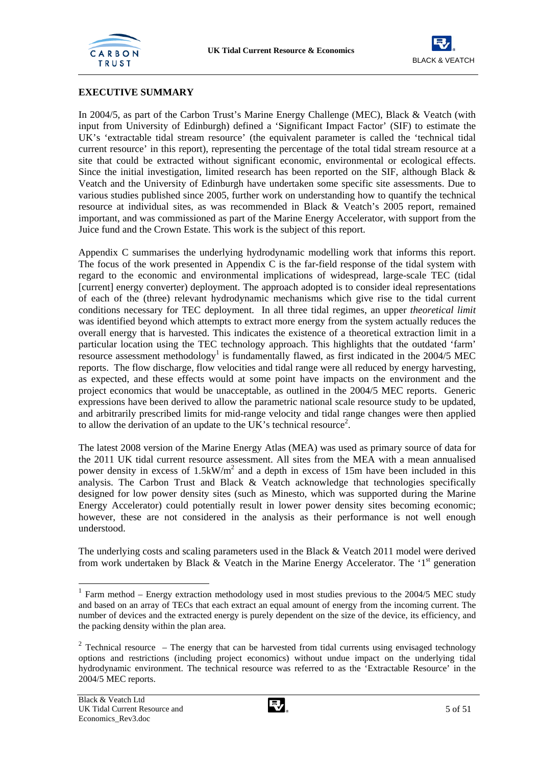



## **EXECUTIVE SUMMARY**

In 2004/5, as part of the Carbon Trust's Marine Energy Challenge (MEC), Black & Veatch (with input from University of Edinburgh) defined a 'Significant Impact Factor' (SIF) to estimate the UK's 'extractable tidal stream resource' (the equivalent parameter is called the 'technical tidal current resource' in this report), representing the percentage of the total tidal stream resource at a site that could be extracted without significant economic, environmental or ecological effects. Since the initial investigation, limited research has been reported on the SIF, although Black & Veatch and the University of Edinburgh have undertaken some specific site assessments. Due to various studies published since 2005, further work on understanding how to quantify the technical resource at individual sites, as was recommended in Black & Veatch's 2005 report, remained important, and was commissioned as part of the Marine Energy Accelerator, with support from the Juice fund and the Crown Estate. This work is the subject of this report.

Appendix C summarises the underlying hydrodynamic modelling work that informs this report. The focus of the work presented in Appendix C is the far-field response of the tidal system with regard to the economic and environmental implications of widespread, large-scale TEC (tidal [current] energy converter) deployment. The approach adopted is to consider ideal representations of each of the (three) relevant hydrodynamic mechanisms which give rise to the tidal current conditions necessary for TEC deployment. In all three tidal regimes, an upper *theoretical limit* was identified beyond which attempts to extract more energy from the system actually reduces the overall energy that is harvested. This indicates the existence of a theoretical extraction limit in a particular location using the TEC technology approach. This highlights that the outdated 'farm'  $r$ esource assessment methodology<sup>1</sup> is fundamentally flawed, as first indicated in the 2004/5 MEC reports. The flow discharge, flow velocities and tidal range were all reduced by energy harvesting, as expected, and these effects would at some point have impacts on the environment and the project economics that would be unacceptable, as outlined in the 2004/5 MEC reports. Generic expressions have been derived to allow the parametric national scale resource study to be updated, and arbitrarily prescribed limits for mid-range velocity and tidal range changes were then applied to allow the derivation of an update to the UK's technical resource<sup>2</sup>.

The latest 2008 version of the Marine Energy Atlas (MEA) was used as primary source of data for the 2011 UK tidal current resource assessment. All sites from the MEA with a mean annualised power density in excess of  $1.5kW/m<sup>2</sup>$  and a depth in excess of 15m have been included in this analysis. The Carbon Trust and Black & Veatch acknowledge that technologies specifically designed for low power density sites (such as Minesto, which was supported during the Marine Energy Accelerator) could potentially result in lower power density sites becoming economic; however, these are not considered in the analysis as their performance is not well enough understood.

The underlying costs and scaling parameters used in the Black & Veatch 2011 model were derived from work undertaken by Black  $\&$  Veatch in the Marine Energy Accelerator. The '1<sup>st</sup> generation

l



 $1$  Farm method – Energy extraction methodology used in most studies previous to the 2004/5 MEC study and based on an array of TECs that each extract an equal amount of energy from the incoming current. The number of devices and the extracted energy is purely dependent on the size of the device, its efficiency, and the packing density within the plan area.

 $2$  Technical resource – The energy that can be harvested from tidal currents using envisaged technology options and restrictions (including project economics) without undue impact on the underlying tidal hydrodynamic environment. The technical resource was referred to as the 'Extractable Resource' in the 2004/5 MEC reports.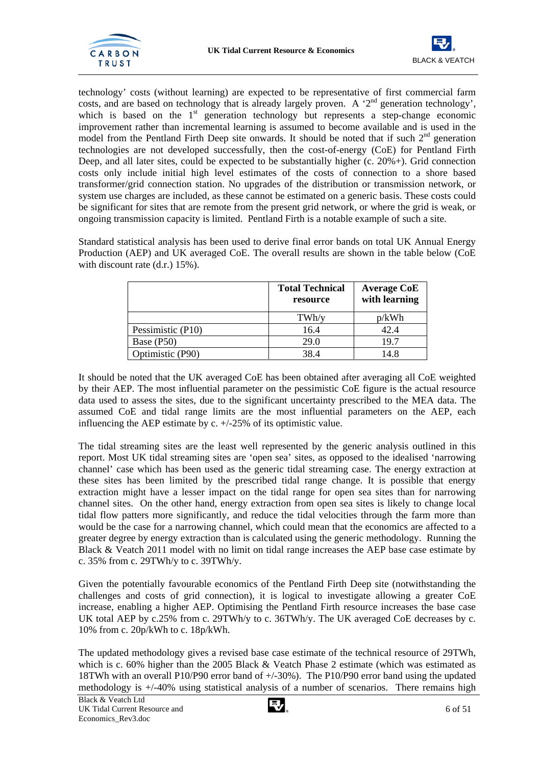



technology' costs (without learning) are expected to be representative of first commercial farm costs, and are based on technology that is already largely proven. A '2nd generation technology', which is based on the  $1<sup>st</sup>$  generation technology but represents a step-change economic improvement rather than incremental learning is assumed to become available and is used in the model from the Pentland Firth Deep site onwards. It should be noted that if such  $2<sup>nd</sup>$  generation technologies are not developed successfully, then the cost-of-energy (CoE) for Pentland Firth Deep, and all later sites, could be expected to be substantially higher (c. 20%+). Grid connection costs only include initial high level estimates of the costs of connection to a shore based transformer/grid connection station. No upgrades of the distribution or transmission network, or system use charges are included, as these cannot be estimated on a generic basis. These costs could be significant for sites that are remote from the present grid network, or where the grid is weak, or ongoing transmission capacity is limited. Pentland Firth is a notable example of such a site.

Standard statistical analysis has been used to derive final error bands on total UK Annual Energy Production (AEP) and UK averaged CoE. The overall results are shown in the table below (CoE with discount rate (d.r.) 15%).

|                   | <b>Total Technical</b><br>resource | <b>Average CoE</b><br>with learning |
|-------------------|------------------------------------|-------------------------------------|
|                   | TWh/y                              | p/kWh                               |
| Pessimistic (P10) | 16.4                               | 42.4                                |
| Base (P50)        | 29.0                               | 19.7                                |
| Optimistic (P90)  | 38.4                               | 14.8                                |

It should be noted that the UK averaged CoE has been obtained after averaging all CoE weighted by their AEP. The most influential parameter on the pessimistic CoE figure is the actual resource data used to assess the sites, due to the significant uncertainty prescribed to the MEA data. The assumed CoE and tidal range limits are the most influential parameters on the AEP, each influencing the AEP estimate by c. +/-25% of its optimistic value.

The tidal streaming sites are the least well represented by the generic analysis outlined in this report. Most UK tidal streaming sites are 'open sea' sites, as opposed to the idealised 'narrowing channel' case which has been used as the generic tidal streaming case. The energy extraction at these sites has been limited by the prescribed tidal range change. It is possible that energy extraction might have a lesser impact on the tidal range for open sea sites than for narrowing channel sites. On the other hand, energy extraction from open sea sites is likely to change local tidal flow patters more significantly, and reduce the tidal velocities through the farm more than would be the case for a narrowing channel, which could mean that the economics are affected to a greater degree by energy extraction than is calculated using the generic methodology. Running the Black & Veatch 2011 model with no limit on tidal range increases the AEP base case estimate by c. 35% from c. 29TWh/y to c. 39TWh/y.

Given the potentially favourable economics of the Pentland Firth Deep site (notwithstanding the challenges and costs of grid connection), it is logical to investigate allowing a greater CoE increase, enabling a higher AEP. Optimising the Pentland Firth resource increases the base case UK total AEP by c.25% from c. 29TWh/y to c. 36TWh/y. The UK averaged CoE decreases by c. 10% from c. 20p/kWh to c. 18p/kWh.

The updated methodology gives a revised base case estimate of the technical resource of 29TWh, which is c. 60% higher than the 2005 Black & Veatch Phase 2 estimate (which was estimated as 18TWh with an overall P10/P90 error band of +/-30%). The P10/P90 error band using the updated methodology is +/-40% using statistical analysis of a number of scenarios. There remains high

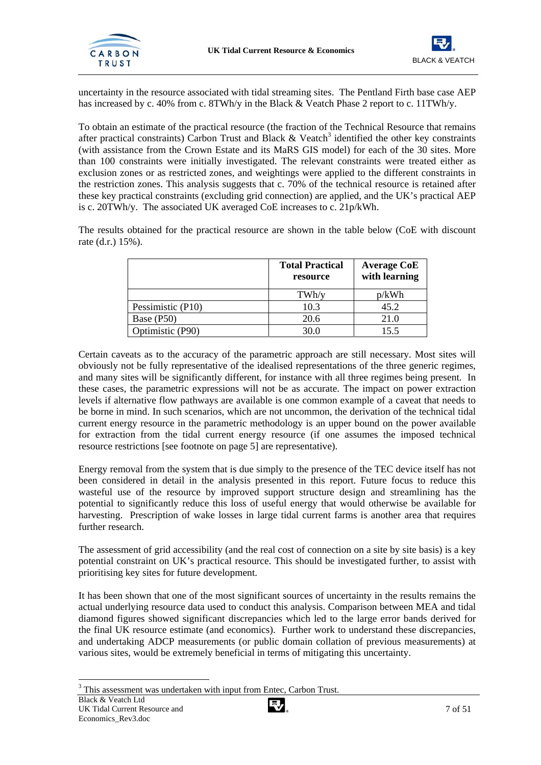



uncertainty in the resource associated with tidal streaming sites. The Pentland Firth base case AEP has increased by c. 40% from c. 8TWh/y in the Black & Veatch Phase 2 report to c. 11TWh/y.

To obtain an estimate of the practical resource (the fraction of the Technical Resource that remains after practical constraints) Carbon Trust and Black  $\&$  Veatch<sup>3</sup> identified the other key constraints (with assistance from the Crown Estate and its MaRS GIS model) for each of the 30 sites. More than 100 constraints were initially investigated. The relevant constraints were treated either as exclusion zones or as restricted zones, and weightings were applied to the different constraints in the restriction zones. This analysis suggests that c. 70% of the technical resource is retained after these key practical constraints (excluding grid connection) are applied, and the UK's practical AEP is c. 20TWh/y. The associated UK averaged CoE increases to c. 21p/kWh.

The results obtained for the practical resource are shown in the table below (CoE with discount rate (d.r.) 15%).

|                   | <b>Total Practical</b><br>resource | <b>Average CoE</b><br>with learning |
|-------------------|------------------------------------|-------------------------------------|
|                   | TWh/v                              | p/kWh                               |
| Pessimistic (P10) | 10.3                               | 45.2                                |
| Base (P50)        | 20.6                               | 21.0                                |
| Optimistic (P90)  | 30.0                               | 15.5                                |

Certain caveats as to the accuracy of the parametric approach are still necessary. Most sites will obviously not be fully representative of the idealised representations of the three generic regimes, and many sites will be significantly different, for instance with all three regimes being present. In these cases, the parametric expressions will not be as accurate. The impact on power extraction levels if alternative flow pathways are available is one common example of a caveat that needs to be borne in mind. In such scenarios, which are not uncommon, the derivation of the technical tidal current energy resource in the parametric methodology is an upper bound on the power available for extraction from the tidal current energy resource (if one assumes the imposed technical resource restrictions [see footnote on page 5] are representative).

Energy removal from the system that is due simply to the presence of the TEC device itself has not been considered in detail in the analysis presented in this report. Future focus to reduce this wasteful use of the resource by improved support structure design and streamlining has the potential to significantly reduce this loss of useful energy that would otherwise be available for harvesting. Prescription of wake losses in large tidal current farms is another area that requires further research.

The assessment of grid accessibility (and the real cost of connection on a site by site basis) is a key potential constraint on UK's practical resource. This should be investigated further, to assist with prioritising key sites for future development.

It has been shown that one of the most significant sources of uncertainty in the results remains the actual underlying resource data used to conduct this analysis. Comparison between MEA and tidal diamond figures showed significant discrepancies which led to the large error bands derived for the final UK resource estimate (and economics). Further work to understand these discrepancies, and undertaking ADCP measurements (or public domain collation of previous measurements) at various sites, would be extremely beneficial in terms of mitigating this uncertainty.

l



 $3$  This assessment was undertaken with input from Entec, Carbon Trust.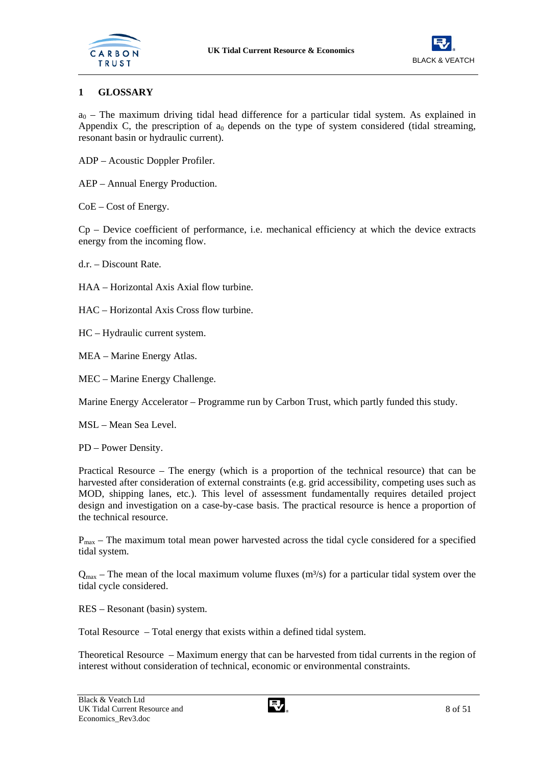



## **1 GLOSSARY**

 $a_0$  – The maximum driving tidal head difference for a particular tidal system. As explained in Appendix C, the prescription of  $a_0$  depends on the type of system considered (tidal streaming, resonant basin or hydraulic current).

- ADP Acoustic Doppler Profiler.
- AEP Annual Energy Production.

CoE – Cost of Energy.

Cp – Device coefficient of performance, i.e. mechanical efficiency at which the device extracts energy from the incoming flow.

d.r. – Discount Rate.

HAA – Horizontal Axis Axial flow turbine.

HAC – Horizontal Axis Cross flow turbine.

HC – Hydraulic current system.

MEA – Marine Energy Atlas.

MEC – Marine Energy Challenge.

Marine Energy Accelerator – Programme run by Carbon Trust, which partly funded this study.

MSL – Mean Sea Level.

PD – Power Density.

Practical Resource – The energy (which is a proportion of the technical resource) that can be harvested after consideration of external constraints (e.g. grid accessibility, competing uses such as MOD, shipping lanes, etc.). This level of assessment fundamentally requires detailed project design and investigation on a case-by-case basis. The practical resource is hence a proportion of the technical resource.

 $P_{\text{max}}$  – The maximum total mean power harvested across the tidal cycle considered for a specified tidal system.

 $Q_{\text{max}}$  – The mean of the local maximum volume fluxes (m<sup>3</sup>/s) for a particular tidal system over the tidal cycle considered.

RES – Resonant (basin) system.

Total Resource – Total energy that exists within a defined tidal system.

Theoretical Resource – Maximum energy that can be harvested from tidal currents in the region of interest without consideration of technical, economic or environmental constraints.

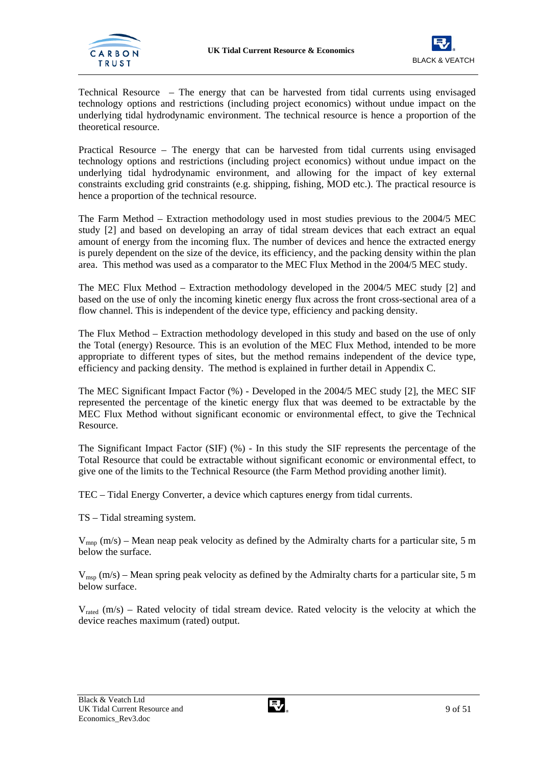



Technical Resource – The energy that can be harvested from tidal currents using envisaged technology options and restrictions (including project economics) without undue impact on the underlying tidal hydrodynamic environment. The technical resource is hence a proportion of the theoretical resource.

Practical Resource – The energy that can be harvested from tidal currents using envisaged technology options and restrictions (including project economics) without undue impact on the underlying tidal hydrodynamic environment, and allowing for the impact of key external constraints excluding grid constraints (e.g. shipping, fishing, MOD etc.). The practical resource is hence a proportion of the technical resource.

The Farm Method – Extraction methodology used in most studies previous to the 2004/5 MEC study [2] and based on developing an array of tidal stream devices that each extract an equal amount of energy from the incoming flux. The number of devices and hence the extracted energy is purely dependent on the size of the device, its efficiency, and the packing density within the plan area. This method was used as a comparator to the MEC Flux Method in the 2004/5 MEC study.

The MEC Flux Method – Extraction methodology developed in the 2004/5 MEC study [2] and based on the use of only the incoming kinetic energy flux across the front cross-sectional area of a flow channel. This is independent of the device type, efficiency and packing density.

The Flux Method – Extraction methodology developed in this study and based on the use of only the Total (energy) Resource. This is an evolution of the MEC Flux Method, intended to be more appropriate to different types of sites, but the method remains independent of the device type, efficiency and packing density. The method is explained in further detail in Appendix C.

The MEC Significant Impact Factor (%) - Developed in the 2004/5 MEC study [2], the MEC SIF represented the percentage of the kinetic energy flux that was deemed to be extractable by the MEC Flux Method without significant economic or environmental effect, to give the Technical Resource.

The Significant Impact Factor (SIF) (%) - In this study the SIF represents the percentage of the Total Resource that could be extractable without significant economic or environmental effect, to give one of the limits to the Technical Resource (the Farm Method providing another limit).

TEC – Tidal Energy Converter, a device which captures energy from tidal currents.

TS – Tidal streaming system.

 $V_{\text{mno}}$  (m/s) – Mean neap peak velocity as defined by the Admiralty charts for a particular site, 5 m below the surface.

 $V_{\text{msp}}$  (m/s) – Mean spring peak velocity as defined by the Admiralty charts for a particular site, 5 m below surface.

 $V_{\text{rated}}$  (m/s) – Rated velocity of tidal stream device. Rated velocity is the velocity at which the device reaches maximum (rated) output.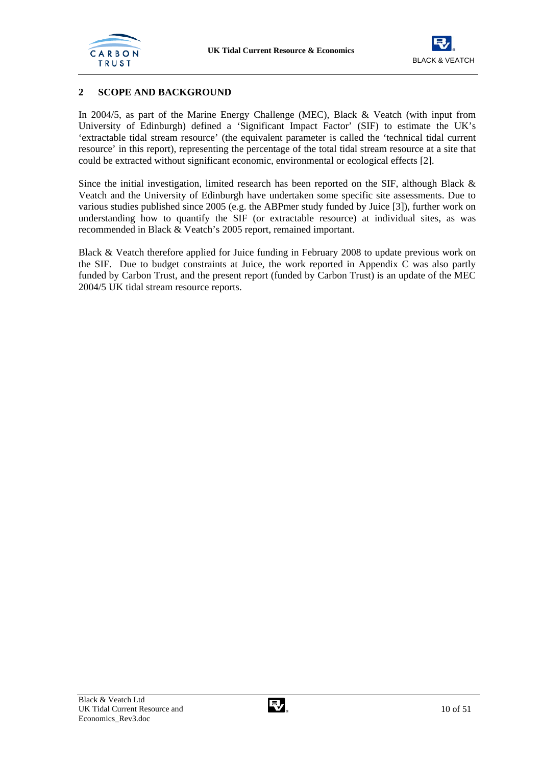



## **2 SCOPE AND BACKGROUND**

In 2004/5, as part of the Marine Energy Challenge (MEC), Black & Veatch (with input from University of Edinburgh) defined a 'Significant Impact Factor' (SIF) to estimate the UK's 'extractable tidal stream resource' (the equivalent parameter is called the 'technical tidal current resource' in this report), representing the percentage of the total tidal stream resource at a site that could be extracted without significant economic, environmental or ecological effects [2].

Since the initial investigation, limited research has been reported on the SIF, although Black & Veatch and the University of Edinburgh have undertaken some specific site assessments. Due to various studies published since 2005 (e.g. the ABPmer study funded by Juice [3]), further work on understanding how to quantify the SIF (or extractable resource) at individual sites, as was recommended in Black & Veatch's 2005 report, remained important.

Black & Veatch therefore applied for Juice funding in February 2008 to update previous work on the SIF. Due to budget constraints at Juice, the work reported in Appendix C was also partly funded by Carbon Trust, and the present report (funded by Carbon Trust) is an update of the MEC 2004/5 UK tidal stream resource reports.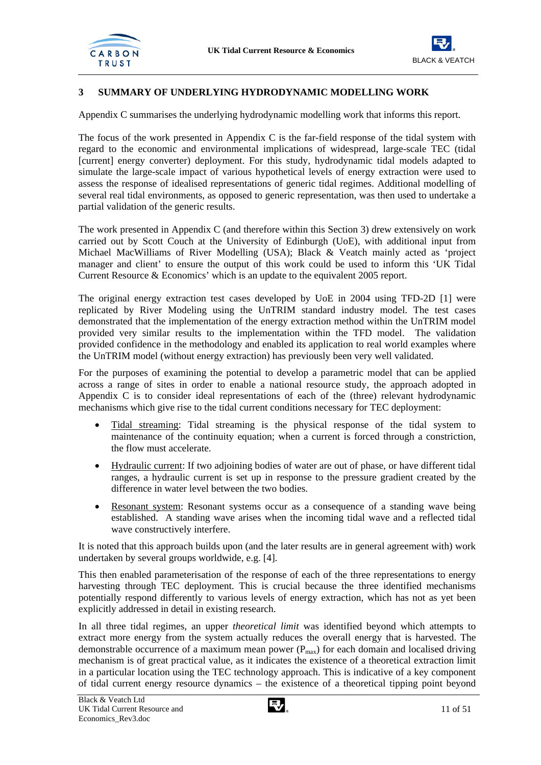



## **3 SUMMARY OF UNDERLYING HYDRODYNAMIC MODELLING WORK**

Appendix C summarises the underlying hydrodynamic modelling work that informs this report.

The focus of the work presented in Appendix C is the far-field response of the tidal system with regard to the economic and environmental implications of widespread, large-scale TEC (tidal [current] energy converter) deployment. For this study, hydrodynamic tidal models adapted to simulate the large-scale impact of various hypothetical levels of energy extraction were used to assess the response of idealised representations of generic tidal regimes. Additional modelling of several real tidal environments, as opposed to generic representation, was then used to undertake a partial validation of the generic results.

The work presented in Appendix C (and therefore within this Section 3) drew extensively on work carried out by Scott Couch at the University of Edinburgh (UoE), with additional input from Michael MacWilliams of River Modelling (USA); Black & Veatch mainly acted as 'project manager and client' to ensure the output of this work could be used to inform this 'UK Tidal Current Resource & Economics' which is an update to the equivalent 2005 report.

The original energy extraction test cases developed by UoE in 2004 using TFD-2D [1] were replicated by River Modeling using the UnTRIM standard industry model. The test cases demonstrated that the implementation of the energy extraction method within the UnTRIM model provided very similar results to the implementation within the TFD model. The validation provided confidence in the methodology and enabled its application to real world examples where the UnTRIM model (without energy extraction) has previously been very well validated.

For the purposes of examining the potential to develop a parametric model that can be applied across a range of sites in order to enable a national resource study, the approach adopted in Appendix C is to consider ideal representations of each of the (three) relevant hydrodynamic mechanisms which give rise to the tidal current conditions necessary for TEC deployment:

- Tidal streaming: Tidal streaming is the physical response of the tidal system to maintenance of the continuity equation; when a current is forced through a constriction, the flow must accelerate.
- Hydraulic current: If two adjoining bodies of water are out of phase, or have different tidal ranges, a hydraulic current is set up in response to the pressure gradient created by the difference in water level between the two bodies.
- Resonant system: Resonant systems occur as a consequence of a standing wave being established. A standing wave arises when the incoming tidal wave and a reflected tidal wave constructively interfere.

It is noted that this approach builds upon (and the later results are in general agreement with) work undertaken by several groups worldwide, e.g. [4].

This then enabled parameterisation of the response of each of the three representations to energy harvesting through TEC deployment. This is crucial because the three identified mechanisms potentially respond differently to various levels of energy extraction, which has not as yet been explicitly addressed in detail in existing research.

In all three tidal regimes, an upper *theoretical limit* was identified beyond which attempts to extract more energy from the system actually reduces the overall energy that is harvested. The demonstrable occurrence of a maximum mean power  $(P_{max})$  for each domain and localised driving mechanism is of great practical value, as it indicates the existence of a theoretical extraction limit in a particular location using the TEC technology approach. This is indicative of a key component of tidal current energy resource dynamics – the existence of a theoretical tipping point beyond

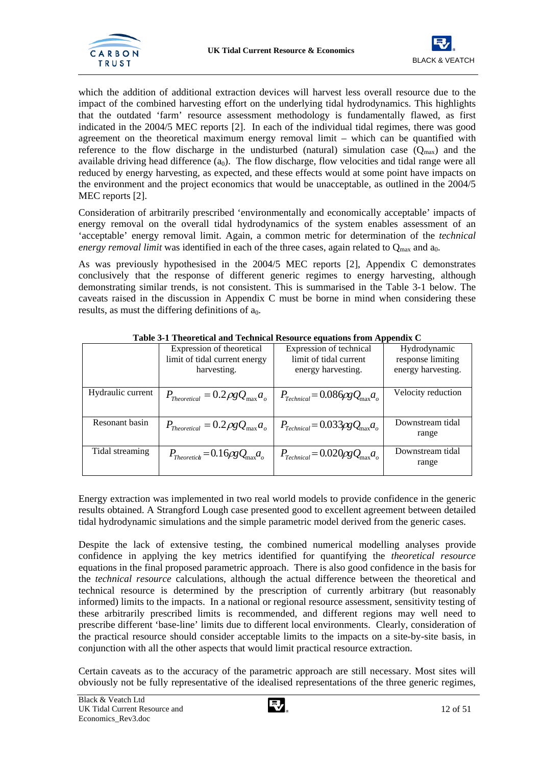



which the addition of additional extraction devices will harvest less overall resource due to the impact of the combined harvesting effort on the underlying tidal hydrodynamics. This highlights that the outdated 'farm' resource assessment methodology is fundamentally flawed, as first indicated in the 2004/5 MEC reports [2]. In each of the individual tidal regimes, there was good agreement on the theoretical maximum energy removal limit – which can be quantified with reference to the flow discharge in the undisturbed (natural) simulation case  $(Q<sub>max</sub>)$  and the available driving head difference  $(a_0)$ . The flow discharge, flow velocities and tidal range were all reduced by energy harvesting, as expected, and these effects would at some point have impacts on the environment and the project economics that would be unacceptable, as outlined in the 2004/5 MEC reports [2].

Consideration of arbitrarily prescribed 'environmentally and economically acceptable' impacts of energy removal on the overall tidal hydrodynamics of the system enables assessment of an 'acceptable' energy removal limit. Again, a common metric for determination of the *technical energy removal limit* was identified in each of the three cases, again related to  $Q_{\text{max}}$  and  $a_0$ .

As was previously hypothesised in the 2004/5 MEC reports [2], Appendix C demonstrates conclusively that the response of different generic regimes to energy harvesting, although demonstrating similar trends, is not consistent. This is summarised in the Table 3-1 below. The caveats raised in the discussion in Appendix C must be borne in mind when considering these results, as must the differing definitions of  $a_0$ .

|                   | Expression of theoretical<br>limit of tidal current energy<br>harvesting.                              | Expression of technical<br>limit of tidal current<br>energy harvesting. | Hydrodynamic<br>response limiting<br>energy harvesting. |
|-------------------|--------------------------------------------------------------------------------------------------------|-------------------------------------------------------------------------|---------------------------------------------------------|
| Hydraulic current | $P_{Theoretical} = 0.2 \rho g Q_{\text{max}} a_o$                                                      | $P_{Technical} = 0.086\rho g Q_{\text{max}} a_o$                        | Velocity reduction                                      |
| Resonant basin    | $P_{Theoretical} = 0.2 \rho g Q_{\text{max}} a_o \mid P_{Technical} = 0.033 \rho g Q_{\text{max}} a_o$ |                                                                         | Downstream tidal<br>range                               |
| Tidal streaming   | $P_{Theoretich} = 0.16 \rho g Q_{\text{max}} a_{\rho}$                                                 | $P_{Technical} = 0.020 \rho g Q_{\text{max}} a_o$                       | Downstream tidal<br>range                               |

**Table 3-1 Theoretical and Technical Resource equations from Appendix C** 

Energy extraction was implemented in two real world models to provide confidence in the generic results obtained. A Strangford Lough case presented good to excellent agreement between detailed tidal hydrodynamic simulations and the simple parametric model derived from the generic cases.

Despite the lack of extensive testing, the combined numerical modelling analyses provide confidence in applying the key metrics identified for quantifying the *theoretical resource* equations in the final proposed parametric approach. There is also good confidence in the basis for the *technical resource* calculations, although the actual difference between the theoretical and technical resource is determined by the prescription of currently arbitrary (but reasonably informed) limits to the impacts. In a national or regional resource assessment, sensitivity testing of these arbitrarily prescribed limits is recommended, and different regions may well need to prescribe different 'base-line' limits due to different local environments. Clearly, consideration of the practical resource should consider acceptable limits to the impacts on a site-by-site basis, in conjunction with all the other aspects that would limit practical resource extraction.

Certain caveats as to the accuracy of the parametric approach are still necessary. Most sites will obviously not be fully representative of the idealised representations of the three generic regimes,

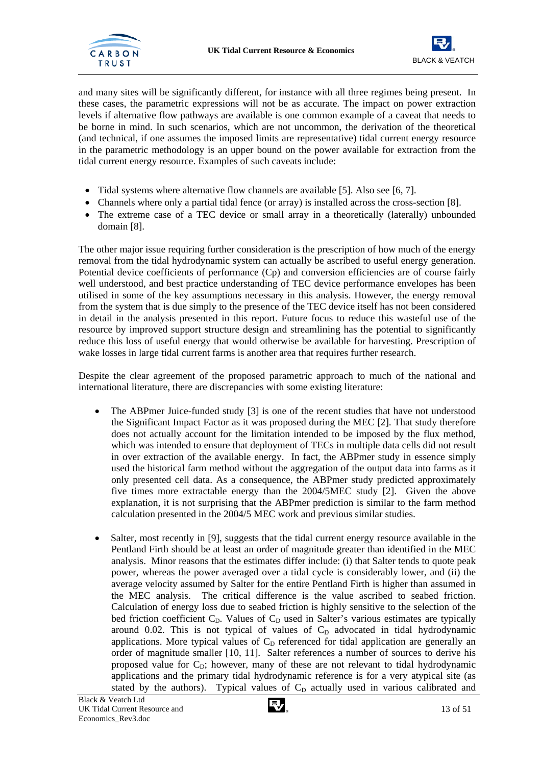



and many sites will be significantly different, for instance with all three regimes being present. In these cases, the parametric expressions will not be as accurate. The impact on power extraction levels if alternative flow pathways are available is one common example of a caveat that needs to be borne in mind. In such scenarios, which are not uncommon, the derivation of the theoretical (and technical, if one assumes the imposed limits are representative) tidal current energy resource in the parametric methodology is an upper bound on the power available for extraction from the tidal current energy resource. Examples of such caveats include:

- Tidal systems where alternative flow channels are available [5]. Also see [6, 7].
- Channels where only a partial tidal fence (or array) is installed across the cross-section [8].
- The extreme case of a TEC device or small array in a theoretically (laterally) unbounded domain [8].

The other major issue requiring further consideration is the prescription of how much of the energy removal from the tidal hydrodynamic system can actually be ascribed to useful energy generation. Potential device coefficients of performance (Cp) and conversion efficiencies are of course fairly well understood, and best practice understanding of TEC device performance envelopes has been utilised in some of the key assumptions necessary in this analysis. However, the energy removal from the system that is due simply to the presence of the TEC device itself has not been considered in detail in the analysis presented in this report. Future focus to reduce this wasteful use of the resource by improved support structure design and streamlining has the potential to significantly reduce this loss of useful energy that would otherwise be available for harvesting. Prescription of wake losses in large tidal current farms is another area that requires further research.

Despite the clear agreement of the proposed parametric approach to much of the national and international literature, there are discrepancies with some existing literature:

- The ABPmer Juice-funded study [3] is one of the recent studies that have not understood the Significant Impact Factor as it was proposed during the MEC [2]. That study therefore does not actually account for the limitation intended to be imposed by the flux method, which was intended to ensure that deployment of TECs in multiple data cells did not result in over extraction of the available energy. In fact, the ABPmer study in essence simply used the historical farm method without the aggregation of the output data into farms as it only presented cell data. As a consequence, the ABPmer study predicted approximately five times more extractable energy than the 2004/5MEC study [2]. Given the above explanation, it is not surprising that the ABPmer prediction is similar to the farm method calculation presented in the 2004/5 MEC work and previous similar studies.
- Salter, most recently in [9], suggests that the tidal current energy resource available in the Pentland Firth should be at least an order of magnitude greater than identified in the MEC analysis. Minor reasons that the estimates differ include: (i) that Salter tends to quote peak power, whereas the power averaged over a tidal cycle is considerably lower, and (ii) the average velocity assumed by Salter for the entire Pentland Firth is higher than assumed in the MEC analysis. The critical difference is the value ascribed to seabed friction. Calculation of energy loss due to seabed friction is highly sensitive to the selection of the bed friction coefficient  $C_D$ . Values of  $C_D$  used in Salter's various estimates are typically around 0.02. This is not typical of values of  $C_D$  advocated in tidal hydrodynamic applications. More typical values of  $C<sub>D</sub>$  referenced for tidal application are generally an order of magnitude smaller [10, 11]. Salter references a number of sources to derive his proposed value for  $C_D$ ; however, many of these are not relevant to tidal hydrodynamic applications and the primary tidal hydrodynamic reference is for a very atypical site (as stated by the authors). Typical values of  $C<sub>D</sub>$  actually used in various calibrated and

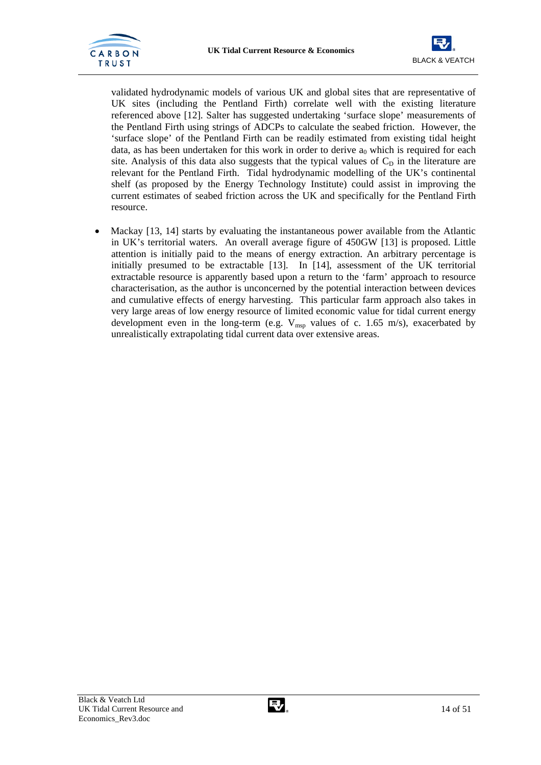



validated hydrodynamic models of various UK and global sites that are representative of UK sites (including the Pentland Firth) correlate well with the existing literature referenced above [12]. Salter has suggested undertaking 'surface slope' measurements of the Pentland Firth using strings of ADCPs to calculate the seabed friction. However, the 'surface slope' of the Pentland Firth can be readily estimated from existing tidal height data, as has been undertaken for this work in order to derive  $a_0$  which is required for each site. Analysis of this data also suggests that the typical values of  $C_D$  in the literature are relevant for the Pentland Firth. Tidal hydrodynamic modelling of the UK's continental shelf (as proposed by the Energy Technology Institute) could assist in improving the current estimates of seabed friction across the UK and specifically for the Pentland Firth resource.

• Mackay [13, 14] starts by evaluating the instantaneous power available from the Atlantic in UK's territorial waters. An overall average figure of 450GW [13] is proposed. Little attention is initially paid to the means of energy extraction. An arbitrary percentage is initially presumed to be extractable [13]. In [14], assessment of the UK territorial extractable resource is apparently based upon a return to the 'farm' approach to resource characterisation, as the author is unconcerned by the potential interaction between devices and cumulative effects of energy harvesting. This particular farm approach also takes in very large areas of low energy resource of limited economic value for tidal current energy development even in the long-term (e.g.  $V_{msn}$  values of c. 1.65 m/s), exacerbated by unrealistically extrapolating tidal current data over extensive areas.

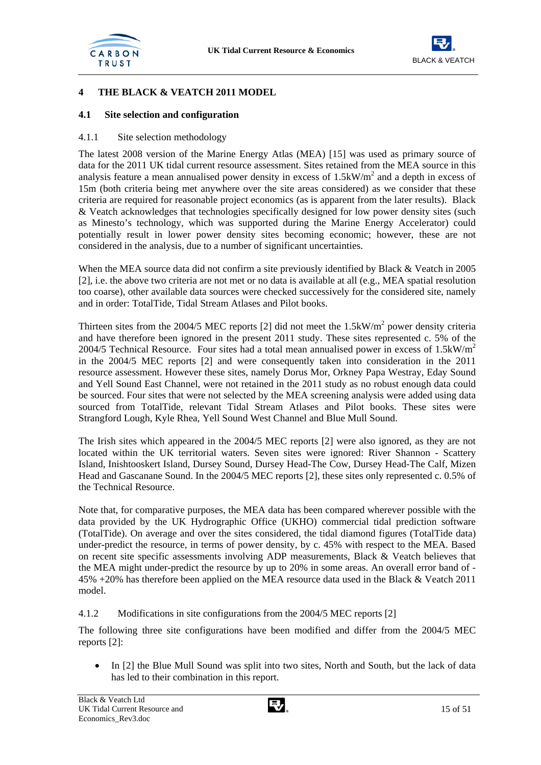



## **4 THE BLACK & VEATCH 2011 MODEL**

#### **4.1 Site selection and configuration**

#### 4.1.1 Site selection methodology

The latest 2008 version of the Marine Energy Atlas (MEA) [15] was used as primary source of data for the 2011 UK tidal current resource assessment. Sites retained from the MEA source in this analysis feature a mean annualised power density in excess of  $1.5 \text{kW/m}^2$  and a depth in excess of 15m (both criteria being met anywhere over the site areas considered) as we consider that these criteria are required for reasonable project economics (as is apparent from the later results). Black & Veatch acknowledges that technologies specifically designed for low power density sites (such as Minesto's technology, which was supported during the Marine Energy Accelerator) could potentially result in lower power density sites becoming economic; however, these are not considered in the analysis, due to a number of significant uncertainties.

When the MEA source data did not confirm a site previously identified by Black & Veatch in 2005 [2], i.e. the above two criteria are not met or no data is available at all (e.g., MEA spatial resolution too coarse), other available data sources were checked successively for the considered site, namely and in order: TotalTide, Tidal Stream Atlases and Pilot books.

Thirteen sites from the 2004/5 MEC reports [2] did not meet the  $1.5 \text{kW/m}^2$  power density criteria and have therefore been ignored in the present 2011 study. These sites represented c. 5% of the 2004/5 Technical Resource. Four sites had a total mean annualised power in excess of  $1.5 \text{kW/m}^2$ in the 2004/5 MEC reports [2] and were consequently taken into consideration in the 2011 resource assessment. However these sites, namely Dorus Mor, Orkney Papa Westray, Eday Sound and Yell Sound East Channel, were not retained in the 2011 study as no robust enough data could be sourced. Four sites that were not selected by the MEA screening analysis were added using data sourced from TotalTide, relevant Tidal Stream Atlases and Pilot books. These sites were Strangford Lough, Kyle Rhea, Yell Sound West Channel and Blue Mull Sound.

The Irish sites which appeared in the 2004/5 MEC reports [2] were also ignored, as they are not located within the UK territorial waters. Seven sites were ignored: River Shannon - Scattery Island, Inishtooskert Island, Dursey Sound, Dursey Head-The Cow, Dursey Head-The Calf, Mizen Head and Gascanane Sound. In the 2004/5 MEC reports [2], these sites only represented c. 0.5% of the Technical Resource.

Note that, for comparative purposes, the MEA data has been compared wherever possible with the data provided by the UK Hydrographic Office (UKHO) commercial tidal prediction software (TotalTide). On average and over the sites considered, the tidal diamond figures (TotalTide data) under-predict the resource, in terms of power density, by c. 45% with respect to the MEA. Based on recent site specific assessments involving ADP measurements, Black & Veatch believes that the MEA might under-predict the resource by up to 20% in some areas. An overall error band of - 45% +20% has therefore been applied on the MEA resource data used in the Black & Veatch 2011 model.

#### 4.1.2 Modifications in site configurations from the 2004/5 MEC reports [2]

The following three site configurations have been modified and differ from the 2004/5 MEC reports [2]:

• In [2] the Blue Mull Sound was split into two sites, North and South, but the lack of data has led to their combination in this report.

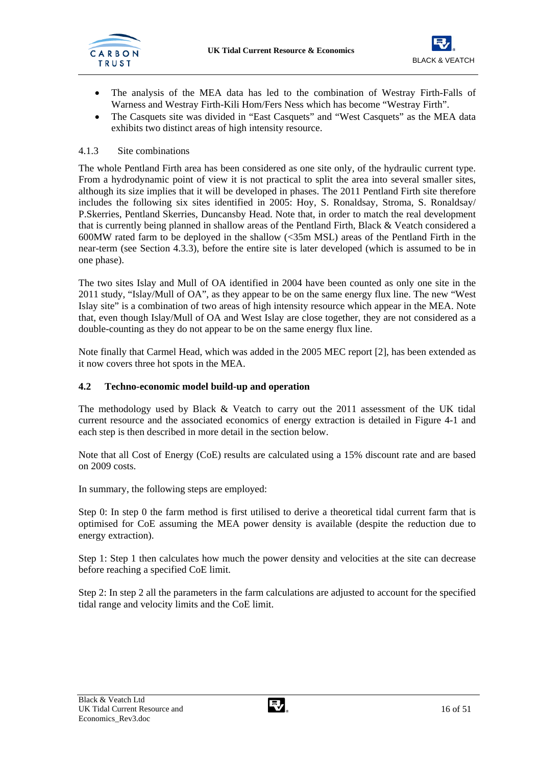

- The analysis of the MEA data has led to the combination of Westray Firth-Falls of Warness and Westray Firth-Kili Hom/Fers Ness which has become "Westray Firth".
- The Casquets site was divided in "East Casquets" and "West Casquets" as the MEA data exhibits two distinct areas of high intensity resource.

## 4.1.3 Site combinations

The whole Pentland Firth area has been considered as one site only, of the hydraulic current type. From a hydrodynamic point of view it is not practical to split the area into several smaller sites, although its size implies that it will be developed in phases. The 2011 Pentland Firth site therefore includes the following six sites identified in 2005: Hoy, S. Ronaldsay, Stroma, S. Ronaldsay/ P.Skerries, Pentland Skerries, Duncansby Head. Note that, in order to match the real development that is currently being planned in shallow areas of the Pentland Firth, Black & Veatch considered a 600MW rated farm to be deployed in the shallow  $\langle$  <35m MSL) areas of the Pentland Firth in the near-term (see Section 4.3.3), before the entire site is later developed (which is assumed to be in one phase).

The two sites Islay and Mull of OA identified in 2004 have been counted as only one site in the 2011 study, "Islay/Mull of OA", as they appear to be on the same energy flux line. The new "West Islay site" is a combination of two areas of high intensity resource which appear in the MEA. Note that, even though Islay/Mull of OA and West Islay are close together, they are not considered as a double-counting as they do not appear to be on the same energy flux line.

Note finally that Carmel Head, which was added in the 2005 MEC report [2], has been extended as it now covers three hot spots in the MEA.

## **4.2 Techno-economic model build-up and operation**

The methodology used by Black & Veatch to carry out the 2011 assessment of the UK tidal current resource and the associated economics of energy extraction is detailed in Figure 4-1 and each step is then described in more detail in the section below.

Note that all Cost of Energy (CoE) results are calculated using a 15% discount rate and are based on 2009 costs.

In summary, the following steps are employed:

Step 0: In step 0 the farm method is first utilised to derive a theoretical tidal current farm that is optimised for CoE assuming the MEA power density is available (despite the reduction due to energy extraction).

Step 1: Step 1 then calculates how much the power density and velocities at the site can decrease before reaching a specified CoE limit.

Step 2: In step 2 all the parameters in the farm calculations are adjusted to account for the specified tidal range and velocity limits and the CoE limit.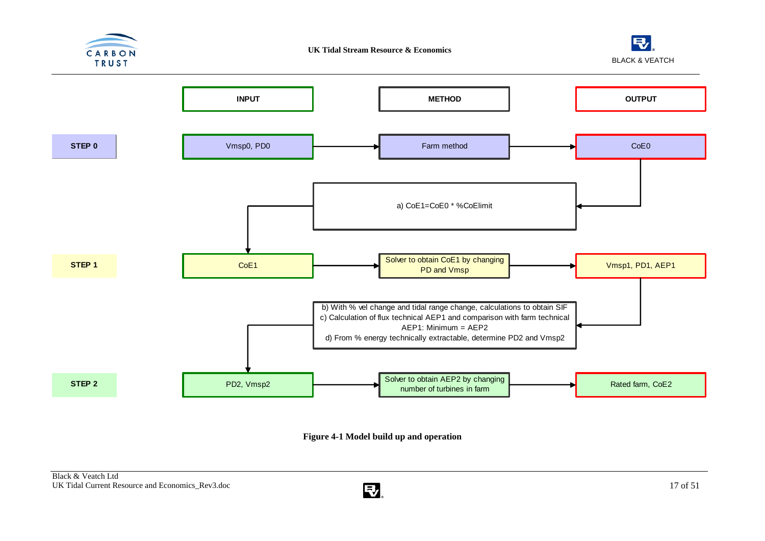





**Figure 4-1 Model build up and operation** 

![](_page_18_Picture_6.jpeg)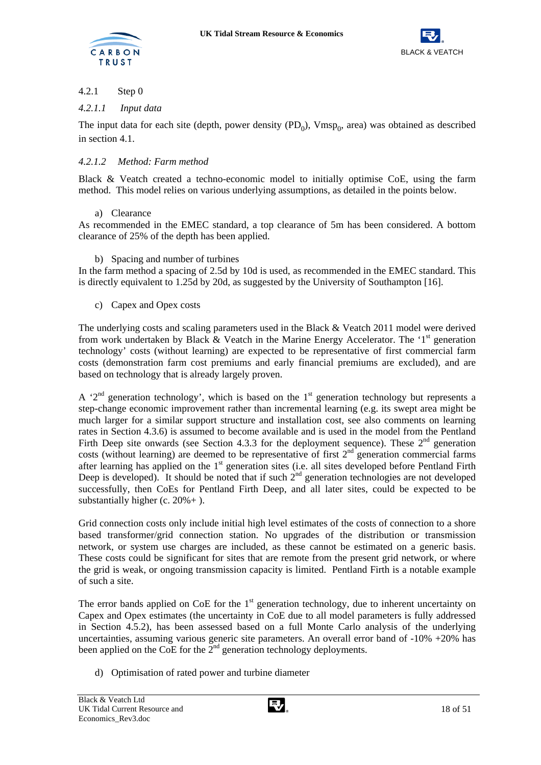![](_page_19_Picture_0.jpeg)

![](_page_19_Picture_2.jpeg)

## 4.2.1 Step 0

## *4.2.1.1 Input data*

The input data for each site (depth, power density  $(PD_0)$ ,  $Vmsp_0$ , area) was obtained as described in section 4.1.

## *4.2.1.2 Method: Farm method*

Black & Veatch created a techno-economic model to initially optimise CoE, using the farm method. This model relies on various underlying assumptions, as detailed in the points below.

## a) Clearance

As recommended in the EMEC standard, a top clearance of 5m has been considered. A bottom clearance of 25% of the depth has been applied.

## b) Spacing and number of turbines

In the farm method a spacing of 2.5d by 10d is used, as recommended in the EMEC standard. This is directly equivalent to 1.25d by 20d, as suggested by the University of Southampton [16].

## c) Capex and Opex costs

The underlying costs and scaling parameters used in the Black & Veatch 2011 model were derived from work undertaken by Black & Veatch in the Marine Energy Accelerator. The '1<sup>st</sup> generation technology' costs (without learning) are expected to be representative of first commercial farm costs (demonstration farm cost premiums and early financial premiums are excluded), and are based on technology that is already largely proven.

A  $2<sup>nd</sup>$  generation technology', which is based on the 1<sup>st</sup> generation technology but represents a step-change economic improvement rather than incremental learning (e.g. its swept area might be much larger for a similar support structure and installation cost, see also comments on learning rates in Section 4.3.6) is assumed to become available and is used in the model from the Pentland Firth Deep site onwards (see Section 4.3.3 for the deployment sequence). These  $2<sup>nd</sup>$  generation costs (without learning) are deemed to be representative of first  $2<sup>nd</sup>$  generation commercial farms after learning has applied on the 1<sup>st</sup> generation sites (i.e. all sites developed before Pentland Firth Deep is developed). It should be noted that if such  $2<sup>nd</sup>$  generation technologies are not developed successfully, then CoEs for Pentland Firth Deep, and all later sites, could be expected to be substantially higher (c. 20%+ ).

Grid connection costs only include initial high level estimates of the costs of connection to a shore based transformer/grid connection station. No upgrades of the distribution or transmission network, or system use charges are included, as these cannot be estimated on a generic basis. These costs could be significant for sites that are remote from the present grid network, or where the grid is weak, or ongoing transmission capacity is limited. Pentland Firth is a notable example of such a site.

The error bands applied on CoE for the  $1<sup>st</sup>$  generation technology, due to inherent uncertainty on Capex and Opex estimates (the uncertainty in CoE due to all model parameters is fully addressed in Section 4.5.2), has been assessed based on a full Monte Carlo analysis of the underlying uncertainties, assuming various generic site parameters. An overall error band of -10% +20% has been applied on the CoE for the  $2<sup>nd</sup>$  generation technology deployments.

d) Optimisation of rated power and turbine diameter

![](_page_19_Picture_19.jpeg)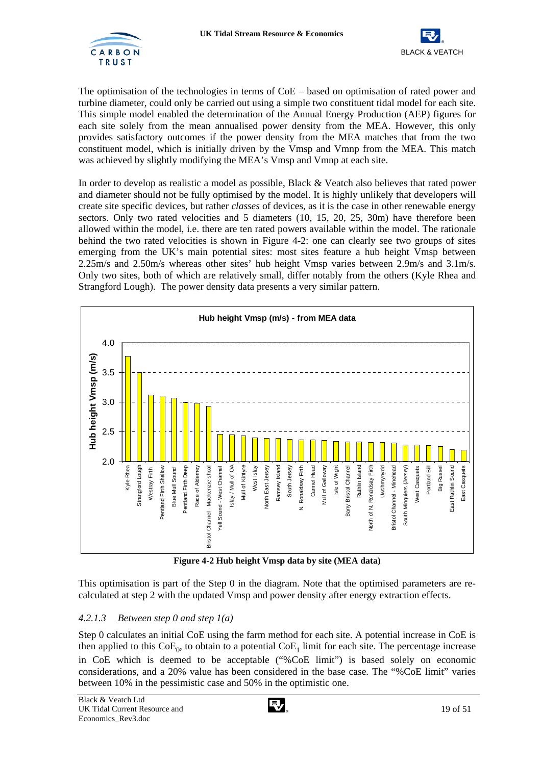![](_page_20_Picture_1.jpeg)

![](_page_20_Picture_2.jpeg)

The optimisation of the technologies in terms of CoE – based on optimisation of rated power and turbine diameter, could only be carried out using a simple two constituent tidal model for each site. This simple model enabled the determination of the Annual Energy Production (AEP) figures for each site solely from the mean annualised power density from the MEA. However, this only provides satisfactory outcomes if the power density from the MEA matches that from the two constituent model, which is initially driven by the Vmsp and Vmnp from the MEA. This match was achieved by slightly modifying the MEA's Vmsp and Vmnp at each site.

In order to develop as realistic a model as possible, Black & Veatch also believes that rated power and diameter should not be fully optimised by the model. It is highly unlikely that developers will create site specific devices, but rather *classes* of devices, as it is the case in other renewable energy sectors. Only two rated velocities and 5 diameters (10, 15, 20, 25, 30m) have therefore been allowed within the model, i.e. there are ten rated powers available within the model. The rationale behind the two rated velocities is shown in Figure 4-2: one can clearly see two groups of sites emerging from the UK's main potential sites: most sites feature a hub height Vmsp between 2.25m/s and 2.50m/s whereas other sites' hub height Vmsp varies between 2.9m/s and 3.1m/s. Only two sites, both of which are relatively small, differ notably from the others (Kyle Rhea and Strangford Lough). The power density data presents a very similar pattern.

![](_page_20_Figure_5.jpeg)

**Figure 4-2 Hub height Vmsp data by site (MEA data)** 

This optimisation is part of the Step 0 in the diagram. Note that the optimised parameters are recalculated at step 2 with the updated Vmsp and power density after energy extraction effects.

## *4.2.1.3 Between step 0 and step 1(a)*

Step 0 calculates an initial CoE using the farm method for each site. A potential increase in CoE is then applied to this  $CoE_0$ , to obtain to a potential  $CoE_1$  limit for each site. The percentage increase in CoE which is deemed to be acceptable ("%CoE limit") is based solely on economic considerations, and a 20% value has been considered in the base case. The "%CoE limit" varies between 10% in the pessimistic case and 50% in the optimistic one.

![](_page_20_Picture_11.jpeg)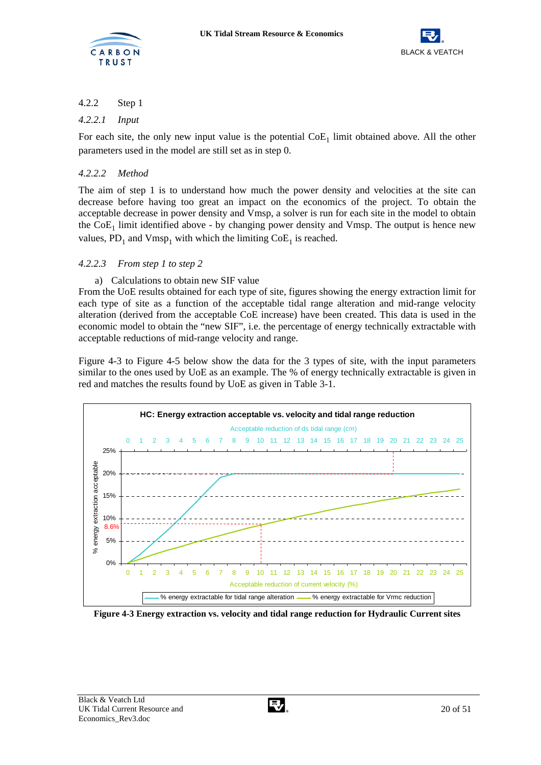![](_page_21_Picture_0.jpeg)

![](_page_21_Picture_2.jpeg)

## 4.2.2 Step 1

## *4.2.2.1 Input*

For each site, the only new input value is the potential  $\text{CoE}_1$  limit obtained above. All the other parameters used in the model are still set as in step 0.

## *4.2.2.2 Method*

The aim of step 1 is to understand how much the power density and velocities at the site can decrease before having too great an impact on the economics of the project. To obtain the acceptable decrease in power density and Vmsp, a solver is run for each site in the model to obtain the  $CoE<sub>1</sub>$  limit identified above - by changing power density and Vmsp. The output is hence new values,  $PD_1$  and  $Vmsp_1$  with which the limiting  $CoE_1$  is reached.

## *4.2.2.3 From step 1 to step 2*

## a) Calculations to obtain new SIF value

From the UoE results obtained for each type of site, figures showing the energy extraction limit for each type of site as a function of the acceptable tidal range alteration and mid-range velocity alteration (derived from the acceptable CoE increase) have been created. This data is used in the economic model to obtain the "new SIF", i.e. the percentage of energy technically extractable with acceptable reductions of mid-range velocity and range.

Figure 4-3 to Figure 4-5 below show the data for the 3 types of site, with the input parameters similar to the ones used by UoE as an example. The % of energy technically extractable is given in red and matches the results found by UoE as given in Table 3-1.

![](_page_21_Figure_12.jpeg)

**Figure 4-3 Energy extraction vs. velocity and tidal range reduction for Hydraulic Current sites**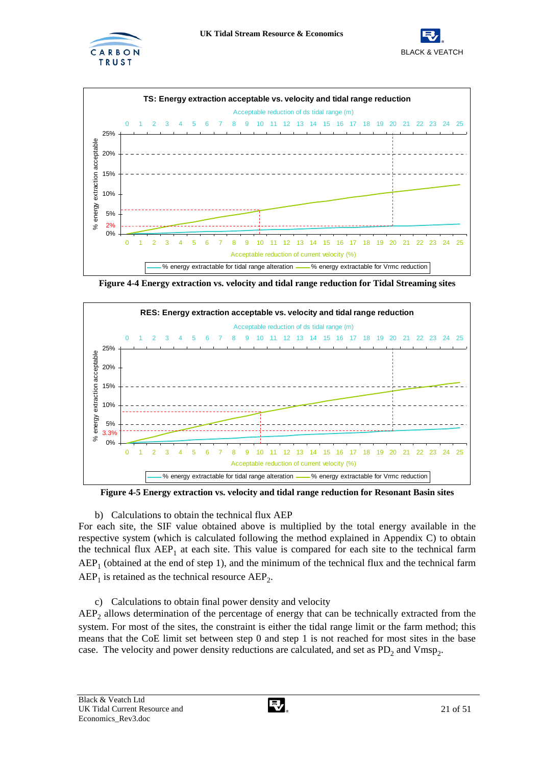![](_page_22_Picture_0.jpeg)

![](_page_22_Picture_2.jpeg)

![](_page_22_Figure_3.jpeg)

**Figure 4-4 Energy extraction vs. velocity and tidal range reduction for Tidal Streaming sites** 

![](_page_22_Figure_5.jpeg)

**Figure 4-5 Energy extraction vs. velocity and tidal range reduction for Resonant Basin sites** 

b) Calculations to obtain the technical flux AEP

For each site, the SIF value obtained above is multiplied by the total energy available in the respective system (which is calculated following the method explained in Appendix C) to obtain the technical flux  $AEP_1$  at each site. This value is compared for each site to the technical farm  $AEP<sub>1</sub>$  (obtained at the end of step 1), and the minimum of the technical flux and the technical farm  $AEP<sub>1</sub>$  is retained as the technical resource  $AEP<sub>2</sub>$ .

c) Calculations to obtain final power density and velocity

 $AEP<sub>2</sub>$  allows determination of the percentage of energy that can be technically extracted from the system. For most of the sites, the constraint is either the tidal range limit or the farm method; this means that the CoE limit set between step 0 and step 1 is not reached for most sites in the base case. The velocity and power density reductions are calculated, and set as  $PD_2$  and Vmsp<sub>2</sub>.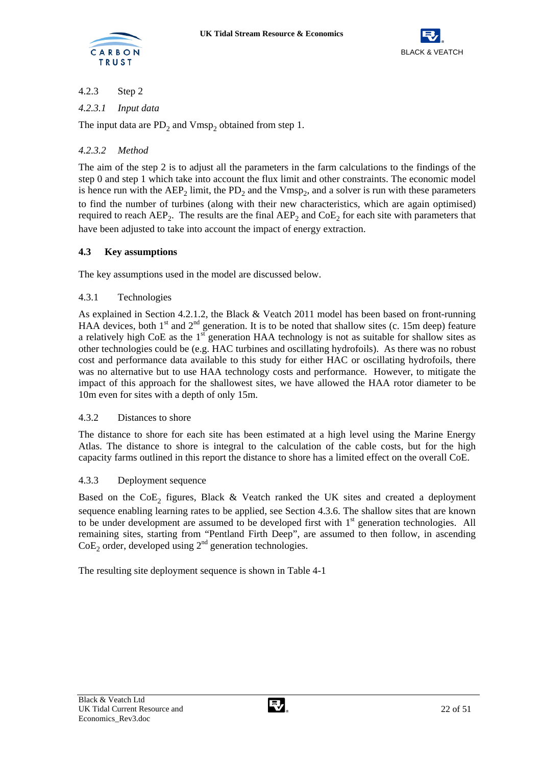![](_page_23_Picture_0.jpeg)

![](_page_23_Picture_2.jpeg)

## 4.2.3 Step 2

## *4.2.3.1 Input data*

The input data are  $PD_2$  and  $Vmsp_2$  obtained from step 1.

## *4.2.3.2 Method*

The aim of the step 2 is to adjust all the parameters in the farm calculations to the findings of the step 0 and step 1 which take into account the flux limit and other constraints. The economic model is hence run with the  $AEP_2$  limit, the  $PD_2$  and the  $Vmsp_2$ , and a solver is run with these parameters to find the number of turbines (along with their new characteristics, which are again optimised) required to reach  $AEP_2$ . The results are the final  $AEP_2$  and  $CoE_2$  for each site with parameters that have been adjusted to take into account the impact of energy extraction.

## **4.3 Key assumptions**

The key assumptions used in the model are discussed below.

## 4.3.1 Technologies

As explained in Section 4.2.1.2, the Black & Veatch 2011 model has been based on front-running HAA devices, both 1<sup>st</sup> and 2<sup>nd</sup> generation. It is to be noted that shallow sites (c. 15m deep) feature a relatively high CoE as the  $1<sup>st</sup>$  generation HAA technology is not as suitable for shallow sites as other technologies could be (e.g. HAC turbines and oscillating hydrofoils). As there was no robust cost and performance data available to this study for either HAC or oscillating hydrofoils, there was no alternative but to use HAA technology costs and performance. However, to mitigate the impact of this approach for the shallowest sites, we have allowed the HAA rotor diameter to be 10m even for sites with a depth of only 15m.

## 4.3.2 Distances to shore

The distance to shore for each site has been estimated at a high level using the Marine Energy Atlas. The distance to shore is integral to the calculation of the cable costs, but for the high capacity farms outlined in this report the distance to shore has a limited effect on the overall CoE.

## 4.3.3 Deployment sequence

Based on the  $CoE<sub>2</sub>$  figures, Black & Veatch ranked the UK sites and created a deployment sequence enabling learning rates to be applied, see Section 4.3.6. The shallow sites that are known to be under development are assumed to be developed first with  $1<sup>st</sup>$  generation technologies. All remaining sites, starting from "Pentland Firth Deep", are assumed to then follow, in ascending  $CoE<sub>2</sub>$  order, developed using  $2<sup>nd</sup>$  generation technologies.

The resulting site deployment sequence is shown in Table 4-1

![](_page_23_Picture_18.jpeg)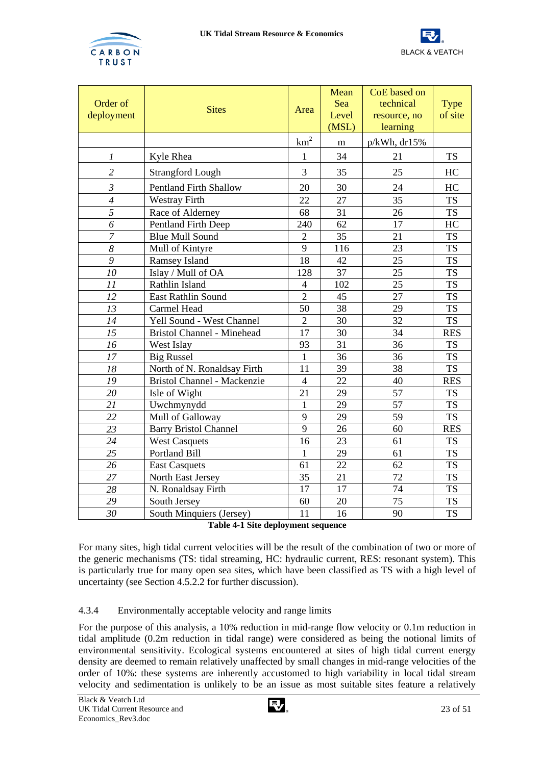![](_page_24_Picture_0.jpeg)

![](_page_24_Picture_2.jpeg)

| Order of<br>deployment | <b>Sites</b>                      | Area           | Mean<br>Sea<br>Level<br>(MSL) | CoE based on<br>technical<br>resource, no<br>learning | <b>Type</b><br>of site |
|------------------------|-----------------------------------|----------------|-------------------------------|-------------------------------------------------------|------------------------|
|                        |                                   | $km^2$         | m                             | $p/kWh$ , dr $15%$                                    |                        |
| $\boldsymbol{l}$       | Kyle Rhea                         | $\mathbf{1}$   | 34                            | 21                                                    | <b>TS</b>              |
| $\overline{2}$         | <b>Strangford Lough</b>           | 3              | 35                            | 25                                                    | HC                     |
| $\mathfrak{Z}$         | <b>Pentland Firth Shallow</b>     | 20             | 30                            | 24                                                    | HC                     |
| $\overline{4}$         | <b>Westray Firth</b>              | 22             | 27                            | 35                                                    | <b>TS</b>              |
| 5                      | Race of Alderney                  | 68             | 31                            | 26                                                    | <b>TS</b>              |
| 6                      | <b>Pentland Firth Deep</b>        | 240            | 62                            | 17                                                    | HC                     |
| $\overline{7}$         | <b>Blue Mull Sound</b>            | $\overline{2}$ | 35                            | 21                                                    | <b>TS</b>              |
| 8                      | Mull of Kintyre                   | 9              | 116                           | 23                                                    | <b>TS</b>              |
| 9                      | Ramsey Island                     | 18             | 42                            | 25                                                    | <b>TS</b>              |
| 10                     | Islay / Mull of OA                | 128            | 37                            | 25                                                    | <b>TS</b>              |
| 11                     | Rathlin Island                    | $\overline{4}$ | 102                           | 25                                                    | <b>TS</b>              |
| 12                     | <b>East Rathlin Sound</b>         | $\overline{2}$ | 45                            | 27                                                    | <b>TS</b>              |
| $\overline{13}$        | Carmel Head                       | 50             | 38                            | 29                                                    | <b>TS</b>              |
| 14                     | Yell Sound - West Channel         | $\overline{2}$ | 30                            | 32                                                    | <b>TS</b>              |
| 15                     | <b>Bristol Channel - Minehead</b> | 17             | 30                            | 34                                                    | <b>RES</b>             |
| 16                     | West Islay                        | 93             | 31                            | 36                                                    | <b>TS</b>              |
| 17                     | <b>Big Russel</b>                 | $\mathbf{1}$   | 36                            | 36                                                    | <b>TS</b>              |
| $18\,$                 | North of N. Ronaldsay Firth       | 11             | 39                            | 38                                                    | <b>TS</b>              |
| 19                     | Bristol Channel - Mackenzie       | $\overline{4}$ | 22                            | 40                                                    | <b>RES</b>             |
| 20                     | Isle of Wight                     | 21             | 29                            | 57                                                    | <b>TS</b>              |
| 21                     | Uwchmynydd                        | $\mathbf{1}$   | 29                            | 57                                                    | <b>TS</b>              |
| 22                     | Mull of Galloway                  | 9              | 29                            | 59                                                    | <b>TS</b>              |
| 23                     | <b>Barry Bristol Channel</b>      | 9              | 26                            | 60                                                    | <b>RES</b>             |
| 24                     | <b>West Casquets</b>              | 16             | 23                            | 61                                                    | <b>TS</b>              |
| 25                     | <b>Portland Bill</b>              | 1              | 29                            | 61                                                    | <b>TS</b>              |
| 26                     | <b>East Casquets</b>              | 61             | 22                            | 62                                                    | <b>TS</b>              |
| 27                     | North East Jersey                 | 35             | 21                            | 72                                                    | <b>TS</b>              |
| 28                     | N. Ronaldsay Firth                | 17             | 17                            | 74                                                    | <b>TS</b>              |
| 29                     | South Jersey                      | 60             | 20                            | 75                                                    | <b>TS</b>              |
| 30                     | South Minquiers (Jersey)          | 11             | 16                            | 90                                                    | <b>TS</b>              |

| Table 4-1 Site deployment sequence |  |  |
|------------------------------------|--|--|
|------------------------------------|--|--|

For many sites, high tidal current velocities will be the result of the combination of two or more of the generic mechanisms (TS: tidal streaming, HC: hydraulic current, RES: resonant system). This is particularly true for many open sea sites, which have been classified as TS with a high level of uncertainty (see Section 4.5.2.2 for further discussion).

## 4.3.4 Environmentally acceptable velocity and range limits

For the purpose of this analysis, a 10% reduction in mid-range flow velocity or 0.1m reduction in tidal amplitude (0.2m reduction in tidal range) were considered as being the notional limits of environmental sensitivity. Ecological systems encountered at sites of high tidal current energy density are deemed to remain relatively unaffected by small changes in mid-range velocities of the order of 10%: these systems are inherently accustomed to high variability in local tidal stream velocity and sedimentation is unlikely to be an issue as most suitable sites feature a relatively

![](_page_24_Picture_9.jpeg)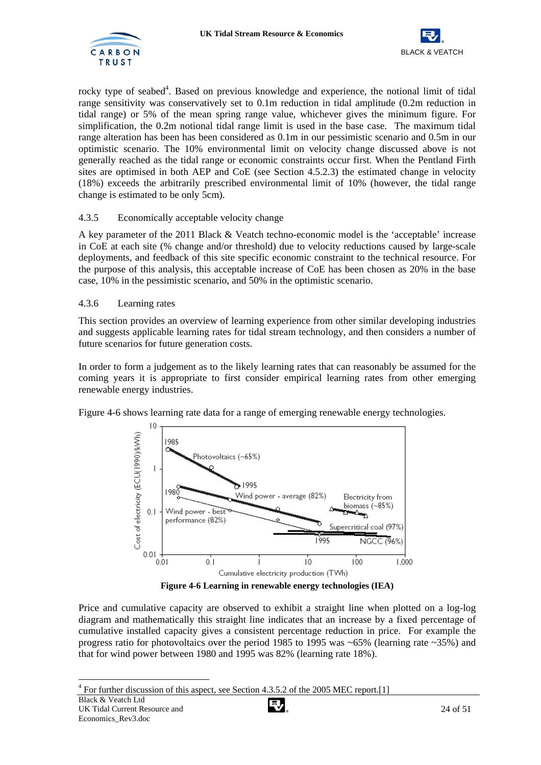![](_page_25_Picture_1.jpeg)

![](_page_25_Picture_2.jpeg)

rocky type of seabed<sup>4</sup>. Based on previous knowledge and experience, the notional limit of tidal range sensitivity was conservatively set to 0.1m reduction in tidal amplitude (0.2m reduction in tidal range) or 5% of the mean spring range value, whichever gives the minimum figure. For simplification, the 0.2m notional tidal range limit is used in the base case. The maximum tidal range alteration has been has been considered as 0.1m in our pessimistic scenario and 0.5m in our optimistic scenario. The 10% environmental limit on velocity change discussed above is not generally reached as the tidal range or economic constraints occur first. When the Pentland Firth sites are optimised in both AEP and CoE (see Section 4.5.2.3) the estimated change in velocity (18%) exceeds the arbitrarily prescribed environmental limit of 10% (however, the tidal range change is estimated to be only 5cm).

## 4.3.5 Economically acceptable velocity change

A key parameter of the 2011 Black & Veatch techno-economic model is the 'acceptable' increase in CoE at each site (% change and/or threshold) due to velocity reductions caused by large-scale deployments, and feedback of this site specific economic constraint to the technical resource. For the purpose of this analysis, this acceptable increase of CoE has been chosen as 20% in the base case, 10% in the pessimistic scenario, and 50% in the optimistic scenario.

#### 4.3.6 Learning rates

This section provides an overview of learning experience from other similar developing industries and suggests applicable learning rates for tidal stream technology, and then considers a number of future scenarios for future generation costs.

In order to form a judgement as to the likely learning rates that can reasonably be assumed for the coming years it is appropriate to first consider empirical learning rates from other emerging renewable energy industries.

![](_page_25_Figure_9.jpeg)

Figure 4-6 shows learning rate data for a range of emerging renewable energy technologies.

**Figure 4-6 Learning in renewable energy technologies (IEA)** 

Price and cumulative capacity are observed to exhibit a straight line when plotted on a log-log diagram and mathematically this straight line indicates that an increase by a fixed percentage of cumulative installed capacity gives a consistent percentage reduction in price. For example the progress ratio for photovoltaics over the period 1985 to 1995 was  $\sim 65\%$  (learning rate  $\sim 35\%$ ) and that for wind power between 1980 and 1995 was 82% (learning rate 18%).

 $4$  For further discussion of this aspect, see Section 4.3.5.2 of the 2005 MEC report.[1]

l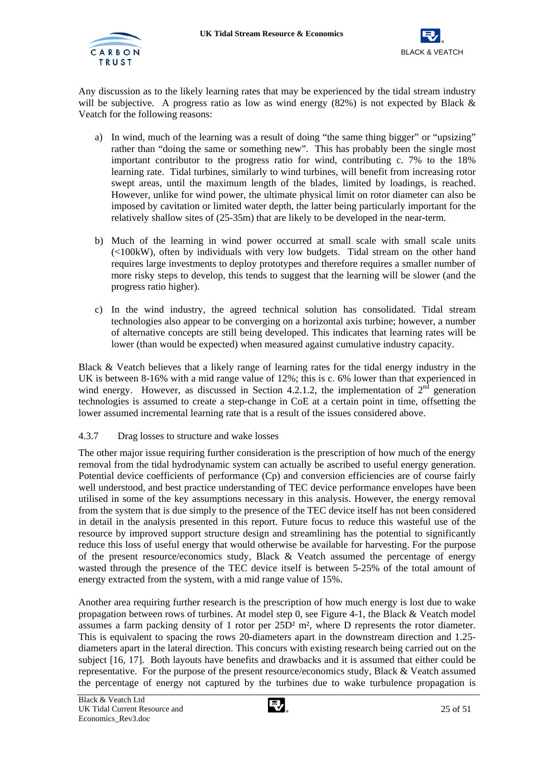![](_page_26_Picture_2.jpeg)

Any discussion as to the likely learning rates that may be experienced by the tidal stream industry will be subjective. A progress ratio as low as wind energy  $(82%)$  is not expected by Black & Veatch for the following reasons:

- a) In wind, much of the learning was a result of doing "the same thing bigger" or "upsizing" rather than "doing the same or something new". This has probably been the single most important contributor to the progress ratio for wind, contributing c. 7% to the 18% learning rate. Tidal turbines, similarly to wind turbines, will benefit from increasing rotor swept areas, until the maximum length of the blades, limited by loadings, is reached. However, unlike for wind power, the ultimate physical limit on rotor diameter can also be imposed by cavitation or limited water depth, the latter being particularly important for the relatively shallow sites of (25-35m) that are likely to be developed in the near-term.
- b) Much of the learning in wind power occurred at small scale with small scale units (<100kW), often by individuals with very low budgets. Tidal stream on the other hand requires large investments to deploy prototypes and therefore requires a smaller number of more risky steps to develop, this tends to suggest that the learning will be slower (and the progress ratio higher).
- c) In the wind industry, the agreed technical solution has consolidated. Tidal stream technologies also appear to be converging on a horizontal axis turbine; however, a number of alternative concepts are still being developed. This indicates that learning rates will be lower (than would be expected) when measured against cumulative industry capacity.

Black & Veatch believes that a likely range of learning rates for the tidal energy industry in the UK is between 8-16% with a mid range value of 12%; this is c. 6% lower than that experienced in wind energy. However, as discussed in Section 4.2.1.2, the implementation of  $2<sup>nd</sup>$  generation technologies is assumed to create a step-change in CoE at a certain point in time, offsetting the lower assumed incremental learning rate that is a result of the issues considered above.

## 4.3.7 Drag losses to structure and wake losses

The other major issue requiring further consideration is the prescription of how much of the energy removal from the tidal hydrodynamic system can actually be ascribed to useful energy generation. Potential device coefficients of performance (Cp) and conversion efficiencies are of course fairly well understood, and best practice understanding of TEC device performance envelopes have been utilised in some of the key assumptions necessary in this analysis. However, the energy removal from the system that is due simply to the presence of the TEC device itself has not been considered in detail in the analysis presented in this report. Future focus to reduce this wasteful use of the resource by improved support structure design and streamlining has the potential to significantly reduce this loss of useful energy that would otherwise be available for harvesting. For the purpose of the present resource/economics study, Black & Veatch assumed the percentage of energy wasted through the presence of the TEC device itself is between 5-25% of the total amount of energy extracted from the system, with a mid range value of 15%.

Another area requiring further research is the prescription of how much energy is lost due to wake propagation between rows of turbines. At model step 0, see Figure 4-1, the Black & Veatch model assumes a farm packing density of 1 rotor per 25D² m², where D represents the rotor diameter. This is equivalent to spacing the rows 20-diameters apart in the downstream direction and 1.25 diameters apart in the lateral direction. This concurs with existing research being carried out on the subject [16, 17]. Both layouts have benefits and drawbacks and it is assumed that either could be representative. For the purpose of the present resource/economics study, Black & Veatch assumed the percentage of energy not captured by the turbines due to wake turbulence propagation is

![](_page_26_Picture_12.jpeg)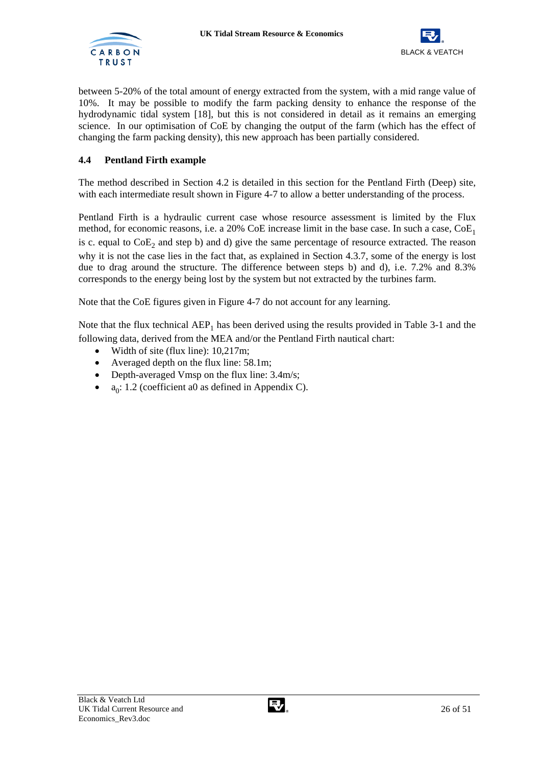![](_page_27_Picture_1.jpeg)

![](_page_27_Picture_2.jpeg)

between 5-20% of the total amount of energy extracted from the system, with a mid range value of 10%. It may be possible to modify the farm packing density to enhance the response of the hydrodynamic tidal system [18], but this is not considered in detail as it remains an emerging science. In our optimisation of CoE by changing the output of the farm (which has the effect of changing the farm packing density), this new approach has been partially considered.

## **4.4 Pentland Firth example**

The method described in Section 4.2 is detailed in this section for the Pentland Firth (Deep) site, with each intermediate result shown in Figure 4-7 to allow a better understanding of the process.

Pentland Firth is a hydraulic current case whose resource assessment is limited by the Flux method, for economic reasons, i.e. a 20% CoE increase limit in the base case. In such a case,  $CoE<sub>1</sub>$ is c. equal to  $CoE<sub>2</sub>$  and step b) and d) give the same percentage of resource extracted. The reason why it is not the case lies in the fact that, as explained in Section 4.3.7, some of the energy is lost due to drag around the structure. The difference between steps b) and d), i.e. 7.2% and 8.3% corresponds to the energy being lost by the system but not extracted by the turbines farm.

Note that the CoE figures given in Figure 4-7 do not account for any learning.

Note that the flux technical  $AEP_1$  has been derived using the results provided in Table 3-1 and the following data, derived from the MEA and/or the Pentland Firth nautical chart:

- Width of site (flux line): 10,217m;
- Averaged depth on the flux line: 58.1m;
- Depth-averaged Vmsp on the flux line: 3.4m/s;
- $a_0$ : 1.2 (coefficient a0 as defined in Appendix C).

![](_page_27_Picture_14.jpeg)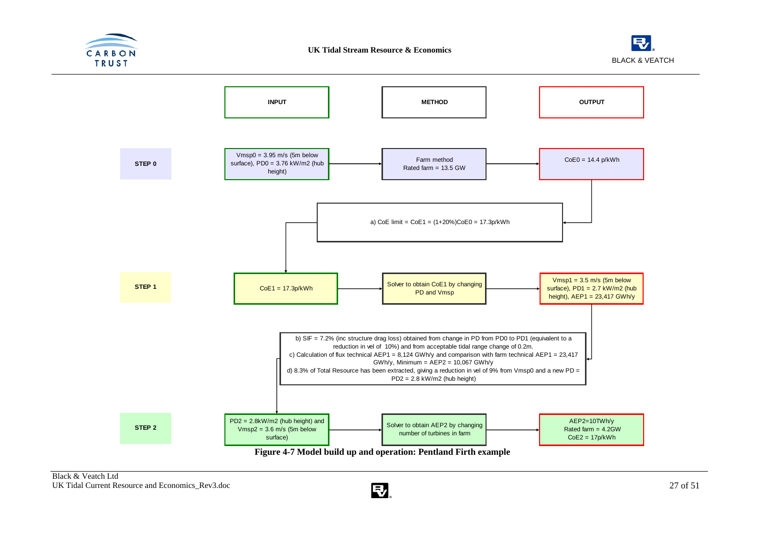![](_page_28_Picture_0.jpeg)

![](_page_28_Picture_2.jpeg)

![](_page_28_Figure_3.jpeg)

![](_page_28_Picture_5.jpeg)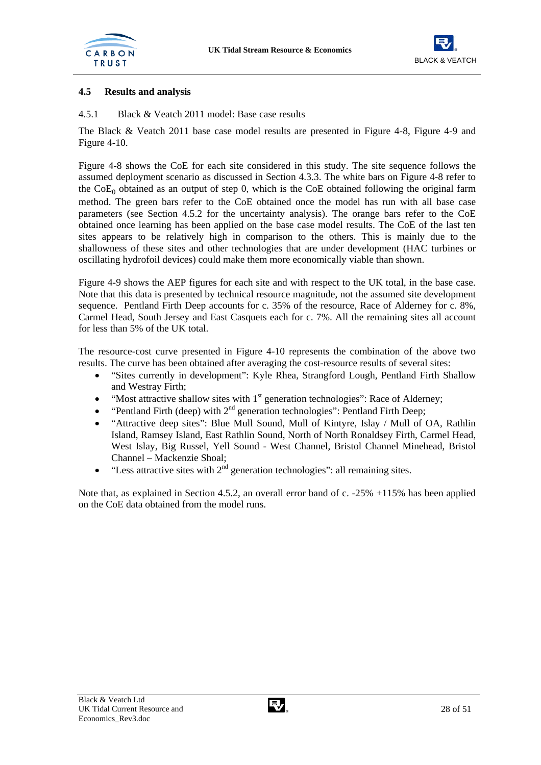![](_page_29_Picture_1.jpeg)

![](_page_29_Picture_2.jpeg)

## **4.5 Results and analysis**

4.5.1 Black & Veatch 2011 model: Base case results

The Black & Veatch 2011 base case model results are presented in Figure 4-8, Figure 4-9 and Figure 4-10.

Figure 4-8 shows the CoE for each site considered in this study. The site sequence follows the assumed deployment scenario as discussed in Section 4.3.3. The white bars on Figure 4-8 refer to the  $CoE_0$  obtained as an output of step 0, which is the CoE obtained following the original farm method. The green bars refer to the CoE obtained once the model has run with all base case parameters (see Section 4.5.2 for the uncertainty analysis). The orange bars refer to the CoE obtained once learning has been applied on the base case model results. The CoE of the last ten sites appears to be relatively high in comparison to the others. This is mainly due to the shallowness of these sites and other technologies that are under development (HAC turbines or oscillating hydrofoil devices) could make them more economically viable than shown.

Figure 4-9 shows the AEP figures for each site and with respect to the UK total, in the base case. Note that this data is presented by technical resource magnitude, not the assumed site development sequence. Pentland Firth Deep accounts for c. 35% of the resource, Race of Alderney for c. 8%. Carmel Head, South Jersey and East Casquets each for c. 7%. All the remaining sites all account for less than 5% of the UK total.

The resource-cost curve presented in Figure 4-10 represents the combination of the above two results. The curve has been obtained after averaging the cost-resource results of several sites:

- "Sites currently in development": Kyle Rhea, Strangford Lough, Pentland Firth Shallow and Westray Firth;
- "Most attractive shallow sites with  $1<sup>st</sup>$  generation technologies": Race of Alderney;
- "Pentland Firth (deep) with  $2<sup>nd</sup>$  generation technologies": Pentland Firth Deep;
- "Attractive deep sites": Blue Mull Sound, Mull of Kintyre, Islay / Mull of OA, Rathlin Island, Ramsey Island, East Rathlin Sound, North of North Ronaldsey Firth, Carmel Head, West Islay, Big Russel, Yell Sound - West Channel, Bristol Channel Minehead, Bristol Channel – Mackenzie Shoal;
- "Less attractive sites with  $2<sup>nd</sup>$  generation technologies": all remaining sites.

Note that, as explained in Section 4.5.2, an overall error band of c. -25% +115% has been applied on the CoE data obtained from the model runs.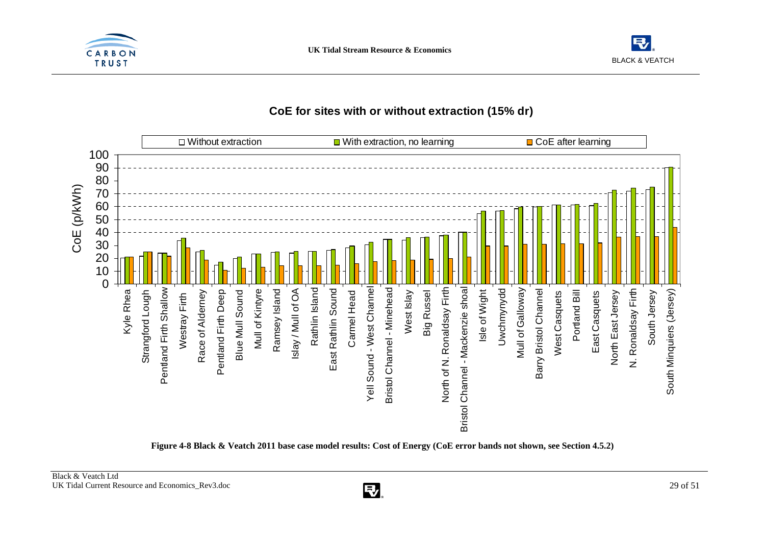![](_page_30_Picture_0.jpeg)

![](_page_30_Picture_2.jpeg)

## **CoE for sites with or without extraction (15% dr)**

![](_page_30_Figure_4.jpeg)

**Figure 4-8 Black & Veatch 2011 base case model results: Cost of Energy (CoE error bands not shown, see Section 4.5.2)** 

![](_page_30_Picture_7.jpeg)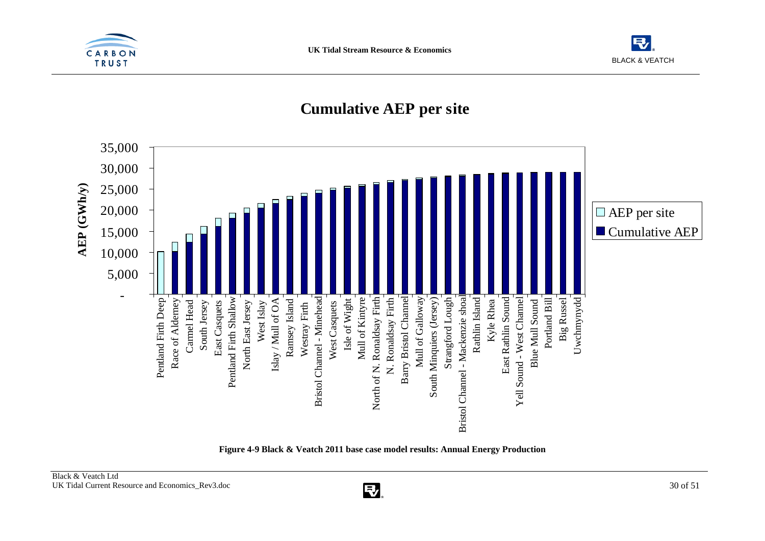![](_page_31_Picture_0.jpeg)

![](_page_31_Picture_2.jpeg)

## **Cumulative AEP per site**

![](_page_31_Figure_4.jpeg)

**Figure 4-9 Black & Veatch 2011 base case model results: Annual Energy Production**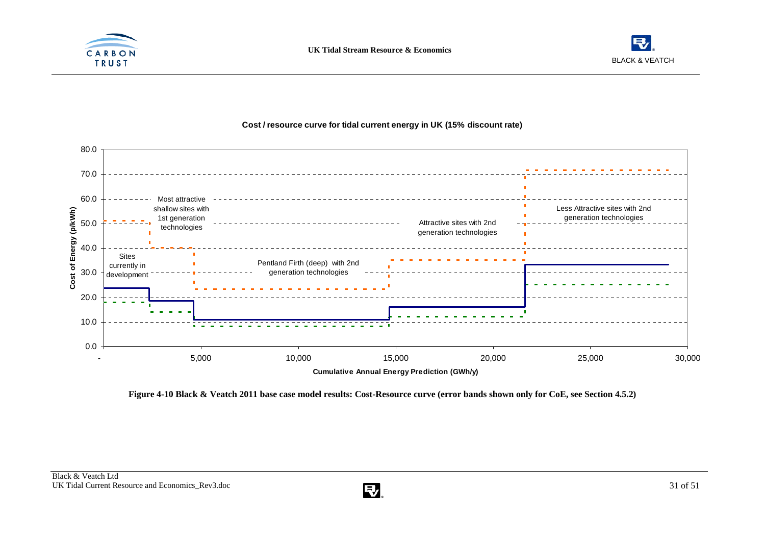![](_page_32_Picture_0.jpeg)

![](_page_32_Picture_2.jpeg)

![](_page_32_Figure_3.jpeg)

#### **Cost / resource curve for tidal current energy in UK (15% discount rate)**

**Figure 4-10 Black & Veatch 2011 base case model results: Cost-Resource curve (error bands shown only for CoE, see Section 4.5.2)** 

![](_page_32_Picture_7.jpeg)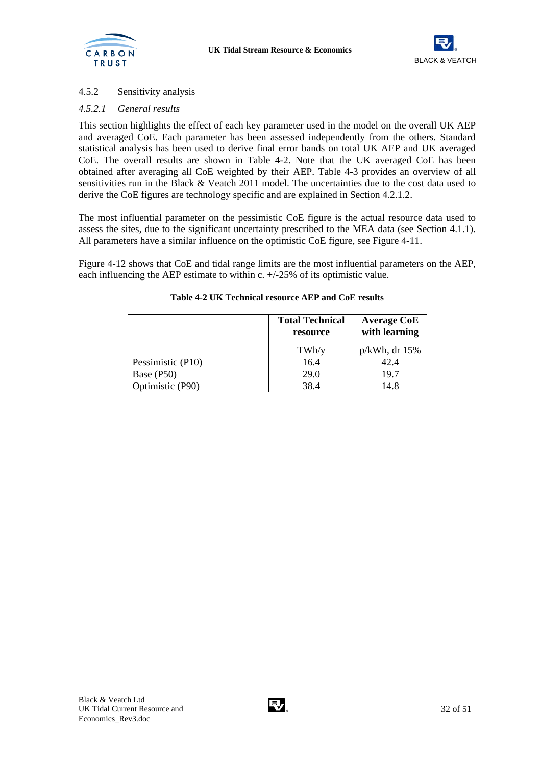![](_page_33_Picture_1.jpeg)

## 4.5.2 Sensitivity analysis

## *4.5.2.1 General results*

This section highlights the effect of each key parameter used in the model on the overall UK AEP and averaged CoE. Each parameter has been assessed independently from the others. Standard statistical analysis has been used to derive final error bands on total UK AEP and UK averaged CoE. The overall results are shown in Table 4-2. Note that the UK averaged CoE has been obtained after averaging all CoE weighted by their AEP. Table 4-3 provides an overview of all sensitivities run in the Black & Veatch 2011 model. The uncertainties due to the cost data used to derive the CoE figures are technology specific and are explained in Section 4.2.1.2.

The most influential parameter on the pessimistic CoE figure is the actual resource data used to assess the sites, due to the significant uncertainty prescribed to the MEA data (see Section 4.1.1). All parameters have a similar influence on the optimistic CoE figure, see Figure 4-11.

Figure 4-12 shows that CoE and tidal range limits are the most influential parameters on the AEP, each influencing the AEP estimate to within c. +/-25% of its optimistic value.

|                   | <b>Total Technical</b><br>resource | <b>Average CoE</b><br>with learning |
|-------------------|------------------------------------|-------------------------------------|
|                   | TWh/v                              | $p/kWh$ , dr 15%                    |
| Pessimistic (P10) | 16.4                               | 42.4                                |
| Base (P50)        | 29.0                               | 19.7                                |
| Optimistic (P90)  | 38.4                               | 14.8                                |

## **Table 4-2 UK Technical resource AEP and CoE results**

![](_page_33_Picture_11.jpeg)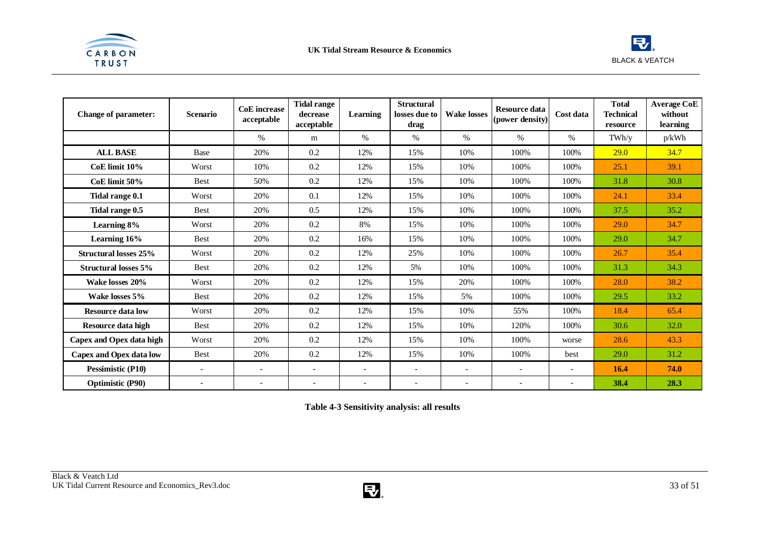![](_page_34_Picture_0.jpeg)

![](_page_34_Picture_2.jpeg)

| <b>Change of parameter:</b>  | <b>Scenario</b>          | <b>CoE</b> increase<br>acceptable | <b>Tidal range</b><br>decrease<br>acceptable | Learning                 | <b>Structural</b><br>losses due to<br>drag | <b>Wake losses</b>       | <b>Resource data</b><br>(power density) | Cost data                | <b>Total</b><br><b>Technical</b><br>resource | <b>Average CoE</b><br>without<br>learning |
|------------------------------|--------------------------|-----------------------------------|----------------------------------------------|--------------------------|--------------------------------------------|--------------------------|-----------------------------------------|--------------------------|----------------------------------------------|-------------------------------------------|
|                              |                          | $\%$                              | m                                            | $\%$                     | $\%$                                       | $\%$                     | $\%$                                    | $\%$                     | TWh/v                                        | p/kWh                                     |
| <b>ALL BASE</b>              | Base                     | 20%                               | 0.2                                          | 12%                      | 15%                                        | 10%                      | 100%                                    | 100%                     | 29.0                                         | 34.7                                      |
| CoE limit 10%                | Worst                    | 10%                               | 0.2                                          | 12%                      | 15%                                        | 10%                      | 100%                                    | 100%                     | 25.1                                         | 39.1                                      |
| CoE limit 50%                | <b>Best</b>              | 50%                               | 0.2                                          | 12%                      | 15%                                        | 10%                      | 100%                                    | 100%                     | 31.8                                         | 30.8                                      |
| Tidal range 0.1              | Worst                    | 20%                               | 0.1                                          | 12%                      | 15%                                        | 10%                      | 100%                                    | 100%                     | 24.1                                         | 33.4                                      |
| Tidal range 0.5              | <b>Best</b>              | 20%                               | 0.5                                          | 12%                      | 15%                                        | 10%                      | 100%                                    | 100%                     | 37.5                                         | 35.2                                      |
| Learning 8%                  | Worst                    | 20%                               | 0.2                                          | 8%                       | 15%                                        | 10%                      | 100%                                    | 100%                     | 29.0                                         | 34.7                                      |
| Learning 16%                 | <b>Best</b>              | 20%                               | 0.2                                          | 16%                      | 15%                                        | 10%                      | 100%                                    | 100%                     | 29.0                                         | 34.7                                      |
| <b>Structural losses 25%</b> | Worst                    | 20%                               | 0.2                                          | 12%                      | 25%                                        | 10%                      | 100%                                    | 100%                     | 26.7                                         | 35.4                                      |
| <b>Structural losses 5%</b>  | <b>Best</b>              | 20%                               | 0.2                                          | 12%                      | 5%                                         | 10%                      | 100%                                    | 100%                     | 31.3                                         | 34.3                                      |
| Wake losses 20%              | Worst                    | 20%                               | 0.2                                          | 12%                      | 15%                                        | 20%                      | 100%                                    | 100%                     | 28.0                                         | 38.2                                      |
| Wake losses 5%               | <b>Best</b>              | 20%                               | 0.2                                          | 12%                      | 15%                                        | 5%                       | 100%                                    | 100%                     | 29.5                                         | 33.2                                      |
| <b>Resource data low</b>     | Worst                    | 20%                               | 0.2                                          | 12%                      | 15%                                        | 10%                      | 55%                                     | 100%                     | 18.4                                         | 65.4                                      |
| Resource data high           | <b>Best</b>              | 20%                               | 0.2                                          | 12%                      | 15%                                        | 10%                      | 120%                                    | 100%                     | 30.6                                         | 32.0                                      |
| Capex and Opex data high     | Worst                    | 20%                               | 0.2                                          | 12%                      | 15%                                        | 10%                      | 100%                                    | worse                    | 28.6                                         | 43.3                                      |
| Capex and Opex data low      | <b>Best</b>              | 20%                               | 0.2                                          | 12%                      | 15%                                        | 10%                      | 100%                                    | best                     | 29.0                                         | 31.2                                      |
| Pessimistic (P10)            | $\overline{\phantom{a}}$ | $\overline{\phantom{a}}$          | $\overline{\phantom{a}}$                     | $\overline{\phantom{a}}$ | $\overline{\phantom{a}}$                   | $\overline{\phantom{a}}$ | $\overline{\phantom{a}}$                | $\overline{\phantom{a}}$ | 16.4                                         | 74.0                                      |
| <b>Optimistic (P90)</b>      | $\overline{\phantom{a}}$ | $\overline{\phantom{a}}$          | $\overline{\phantom{a}}$                     |                          |                                            | $\overline{a}$           | $\overline{\phantom{a}}$                | $\overline{\phantom{a}}$ | 38.4                                         | 28.3                                      |

**Table 4-3 Sensitivity analysis: all results** 

![](_page_34_Picture_6.jpeg)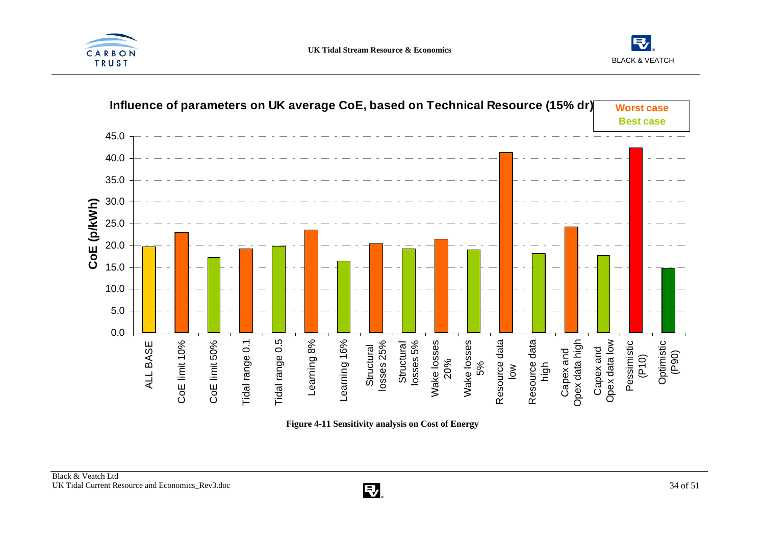![](_page_35_Picture_0.jpeg)

![](_page_35_Picture_2.jpeg)

![](_page_35_Figure_3.jpeg)

**Figure 4-11 Sensitivity analysis on Cost of Energy** 

![](_page_35_Picture_6.jpeg)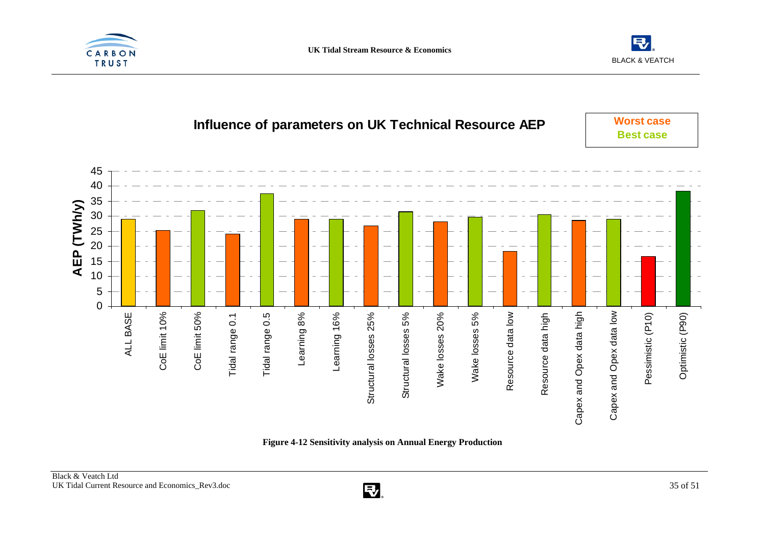![](_page_36_Picture_0.jpeg)

![](_page_36_Picture_2.jpeg)

## **Influence of parameters on UK Technical Resource AEP**

**Worst caseBest case**

![](_page_36_Figure_5.jpeg)

**Figure 4-12 Sensitivity analysis on Annual Energy Production** 

![](_page_36_Picture_8.jpeg)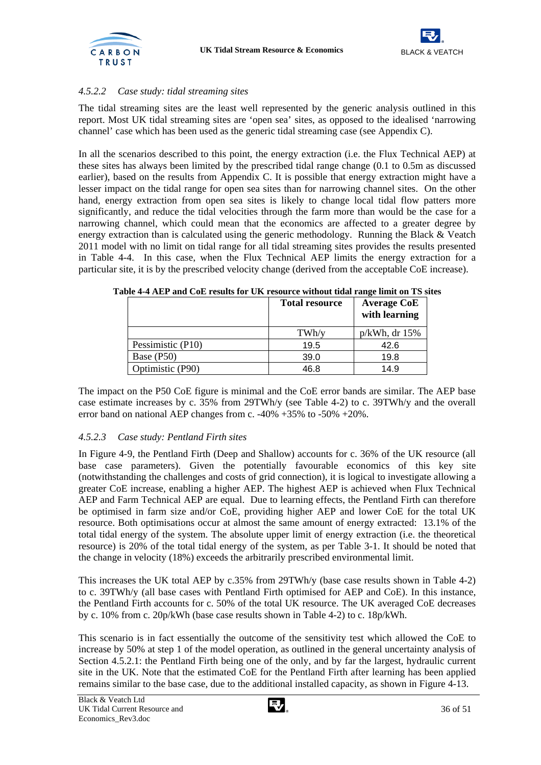![](_page_37_Picture_1.jpeg)

![](_page_37_Picture_2.jpeg)

## *4.5.2.2 Case study: tidal streaming sites*

The tidal streaming sites are the least well represented by the generic analysis outlined in this report. Most UK tidal streaming sites are 'open sea' sites, as opposed to the idealised 'narrowing channel' case which has been used as the generic tidal streaming case (see Appendix C).

In all the scenarios described to this point, the energy extraction (i.e. the Flux Technical AEP) at these sites has always been limited by the prescribed tidal range change (0.1 to 0.5m as discussed earlier), based on the results from Appendix C. It is possible that energy extraction might have a lesser impact on the tidal range for open sea sites than for narrowing channel sites. On the other hand, energy extraction from open sea sites is likely to change local tidal flow patters more significantly, and reduce the tidal velocities through the farm more than would be the case for a narrowing channel, which could mean that the economics are affected to a greater degree by energy extraction than is calculated using the generic methodology. Running the Black & Veatch 2011 model with no limit on tidal range for all tidal streaming sites provides the results presented in Table 4-4. In this case, when the Flux Technical AEP limits the energy extraction for a particular site, it is by the prescribed velocity change (derived from the acceptable CoE increase).

|                   | <b>Total resource</b> | <b>Average CoE</b><br>with learning |
|-------------------|-----------------------|-------------------------------------|
|                   | TWh/v                 | $p/kWh$ , dr 15%                    |
| Pessimistic (P10) | 19.5                  | 42.6                                |
| Base (P50)        | 39.0                  | 19.8                                |
| Optimistic (P90)  | 46.8                  | 14.9                                |

**Table 4-4 AEP and CoE results for UK resource without tidal range limit on TS sites** 

The impact on the P50 CoE figure is minimal and the CoE error bands are similar. The AEP base case estimate increases by c. 35% from 29TWh/y (see Table 4-2) to c. 39TWh/y and the overall error band on national AEP changes from c. -40% +35% to -50% +20%.

#### *4.5.2.3 Case study: Pentland Firth sites*

In Figure 4-9, the Pentland Firth (Deep and Shallow) accounts for c. 36% of the UK resource (all base case parameters). Given the potentially favourable economics of this key site (notwithstanding the challenges and costs of grid connection), it is logical to investigate allowing a greater CoE increase, enabling a higher AEP. The highest AEP is achieved when Flux Technical AEP and Farm Technical AEP are equal. Due to learning effects, the Pentland Firth can therefore be optimised in farm size and/or CoE, providing higher AEP and lower CoE for the total UK resource. Both optimisations occur at almost the same amount of energy extracted: 13.1% of the total tidal energy of the system. The absolute upper limit of energy extraction (i.e. the theoretical resource) is 20% of the total tidal energy of the system, as per Table 3-1. It should be noted that the change in velocity (18%) exceeds the arbitrarily prescribed environmental limit.

This increases the UK total AEP by c.35% from 29TWh/y (base case results shown in Table 4-2) to c. 39TWh/y (all base cases with Pentland Firth optimised for AEP and CoE). In this instance, the Pentland Firth accounts for c. 50% of the total UK resource. The UK averaged CoE decreases by c. 10% from c. 20p/kWh (base case results shown in Table 4-2) to c. 18p/kWh.

This scenario is in fact essentially the outcome of the sensitivity test which allowed the CoE to increase by 50% at step 1 of the model operation, as outlined in the general uncertainty analysis of Section 4.5.2.1: the Pentland Firth being one of the only, and by far the largest, hydraulic current site in the UK. Note that the estimated CoE for the Pentland Firth after learning has been applied remains similar to the base case, due to the additional installed capacity, as shown in Figure 4-13.

![](_page_37_Picture_14.jpeg)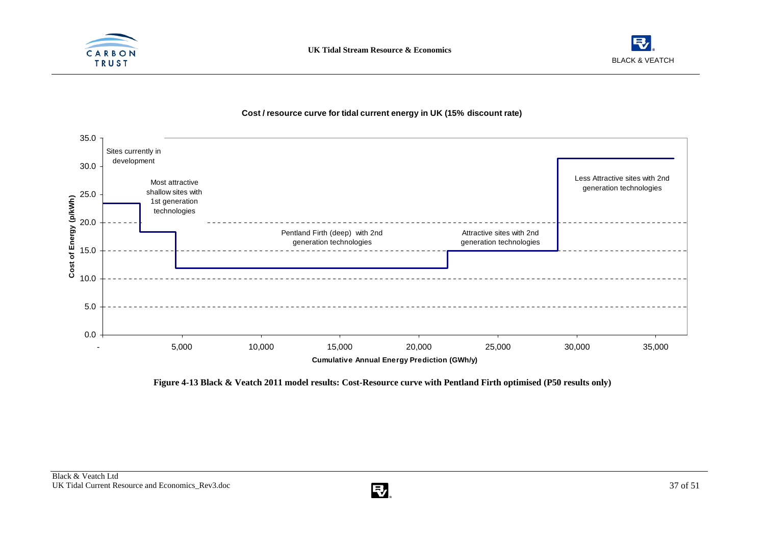![](_page_38_Picture_0.jpeg)

![](_page_38_Picture_2.jpeg)

#### 35.0 Sites currently in development 30.0 Less Attractive sites with 2nd Most attractive generation technologies shallow sites with 25.0Cost of Energy (p/kWh) **Cost of Energy (p/kWh)** 1st generation technologies 20.0 Pentland Firth (deep) with 2nd Attractive sites with 2nd generation technologies generation technologies 15.0 10.05.00.0- 5,000 10,000 15,000 20,000 25,000 30,000 35,000 **Cumulative Annual Energy Prediction (GWh/y)**

#### **Cost / resource curve for tidal current energy in UK (15% discount rate)**

**Figure 4-13 Black & Veatch 2011 model results: Cost-Resource curve with Pentland Firth optimised (P50 results only)** 

![](_page_38_Picture_7.jpeg)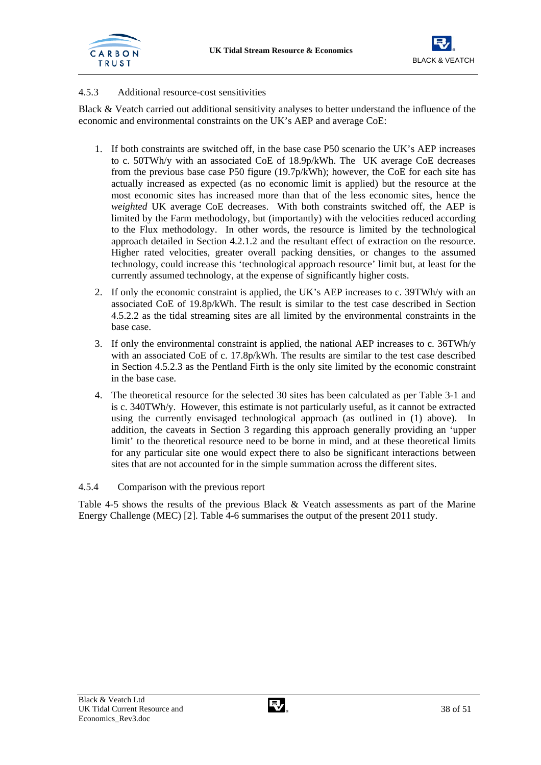![](_page_39_Picture_1.jpeg)

![](_page_39_Picture_2.jpeg)

## 4.5.3 Additional resource-cost sensitivities

Black & Veatch carried out additional sensitivity analyses to better understand the influence of the economic and environmental constraints on the UK's AEP and average CoE:

- 1. If both constraints are switched off, in the base case P50 scenario the UK's AEP increases to c. 50TWh/y with an associated CoE of 18.9p/kWh. The UK average CoE decreases from the previous base case P50 figure (19.7p/kWh); however, the CoE for each site has actually increased as expected (as no economic limit is applied) but the resource at the most economic sites has increased more than that of the less economic sites, hence the *weighted* UK average CoE decreases. With both constraints switched off, the AEP is limited by the Farm methodology, but (importantly) with the velocities reduced according to the Flux methodology. In other words, the resource is limited by the technological approach detailed in Section 4.2.1.2 and the resultant effect of extraction on the resource. Higher rated velocities, greater overall packing densities, or changes to the assumed technology, could increase this 'technological approach resource' limit but, at least for the currently assumed technology, at the expense of significantly higher costs.
- 2. If only the economic constraint is applied, the UK's AEP increases to c. 39TWh/y with an associated CoE of 19.8p/kWh. The result is similar to the test case described in Section 4.5.2.2 as the tidal streaming sites are all limited by the environmental constraints in the base case.
- 3. If only the environmental constraint is applied, the national AEP increases to c. 36TWh/y with an associated CoE of c. 17.8p/kWh. The results are similar to the test case described in Section 4.5.2.3 as the Pentland Firth is the only site limited by the economic constraint in the base case.
- 4. The theoretical resource for the selected 30 sites has been calculated as per Table 3-1 and is c. 340TWh/y. However, this estimate is not particularly useful, as it cannot be extracted using the currently envisaged technological approach (as outlined in (1) above). In addition, the caveats in Section 3 regarding this approach generally providing an 'upper limit' to the theoretical resource need to be borne in mind, and at these theoretical limits for any particular site one would expect there to also be significant interactions between sites that are not accounted for in the simple summation across the different sites.

#### 4.5.4 Comparison with the previous report

Table 4-5 shows the results of the previous Black & Veatch assessments as part of the Marine Energy Challenge (MEC) [2]. Table 4-6 summarises the output of the present 2011 study.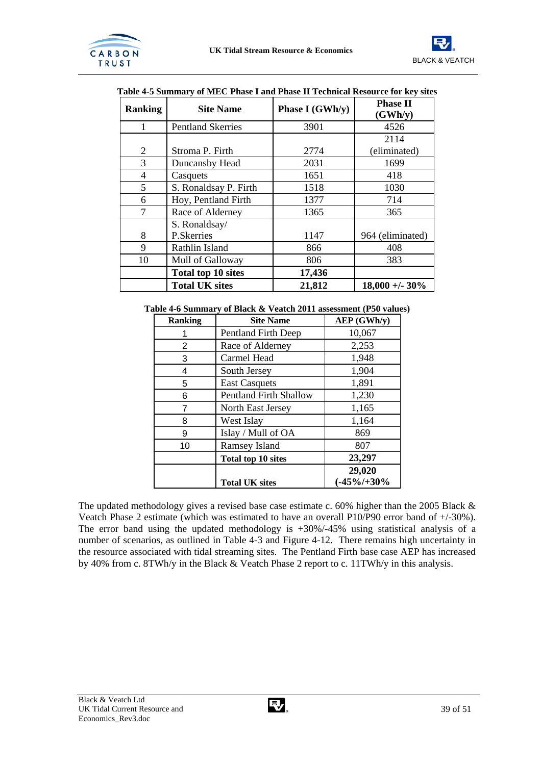![](_page_40_Picture_1.jpeg)

![](_page_40_Picture_2.jpeg)

| Ranking | <b>Site Name</b>          | <b>Phase II</b><br>(GWh/y) |                  |
|---------|---------------------------|----------------------------|------------------|
| 1       | <b>Pentland Skerries</b>  | 3901                       | 4526             |
|         |                           |                            | 2114             |
| 2       | Stroma P. Firth           | 2774                       | (eliminated)     |
| 3       | Duncansby Head            | 2031                       | 1699             |
| 4       | Casquets                  | 1651                       | 418              |
| 5       | S. Ronaldsay P. Firth     | 1518                       | 1030             |
| 6       | Hoy, Pentland Firth       | 1377                       | 714              |
| 7       | Race of Alderney          | 1365                       | 365              |
|         | S. Ronaldsay/             |                            |                  |
| 8       | P.Skerries                | 1147                       | 964 (eliminated) |
| 9       | Rathlin Island            | 866                        | 408              |
| 10      | Mull of Galloway          | 806                        | 383              |
|         | <b>Total top 10 sites</b> | 17,436                     |                  |
|         | <b>Total UK sites</b>     | 21,812                     | $18,000 + 30\%$  |

| Table 4-5 Summary of MEC Phase I and Phase II Technical Resource for key sites |  |  |  |
|--------------------------------------------------------------------------------|--|--|--|
|                                                                                |  |  |  |

#### **Table 4-6 Summary of Black & Veatch 2011 assessment (P50 values)**

| <b>Ranking</b> | <b>Site Name</b>              | AEP (GWh/y)    |
|----------------|-------------------------------|----------------|
|                | Pentland Firth Deep           | 10,067         |
| 2              | Race of Alderney              | 2,253          |
| 3              | Carmel Head                   | 1,948          |
| 4              | South Jersey                  | 1,904          |
| 5              | <b>East Casquets</b>          | 1,891          |
| 6              | <b>Pentland Firth Shallow</b> | 1,230          |
| 7              | North East Jersey             | 1,165          |
| 8              | West Islay                    | 1,164          |
| 9              | Islay / Mull of OA            | 869            |
| 10             | <b>Ramsey Island</b>          | 807            |
|                | <b>Total top 10 sites</b>     | 23,297         |
|                |                               | 29,020         |
|                | <b>Total UK sites</b>         | $(-45\%/+30\%$ |

The updated methodology gives a revised base case estimate c. 60% higher than the 2005 Black & Veatch Phase 2 estimate (which was estimated to have an overall P10/P90 error band of +/-30%). The error band using the updated methodology is +30%/-45% using statistical analysis of a number of scenarios, as outlined in Table 4-3 and Figure 4-12. There remains high uncertainty in the resource associated with tidal streaming sites. The Pentland Firth base case AEP has increased by 40% from c. 8TWh/y in the Black & Veatch Phase 2 report to c. 11TWh/y in this analysis.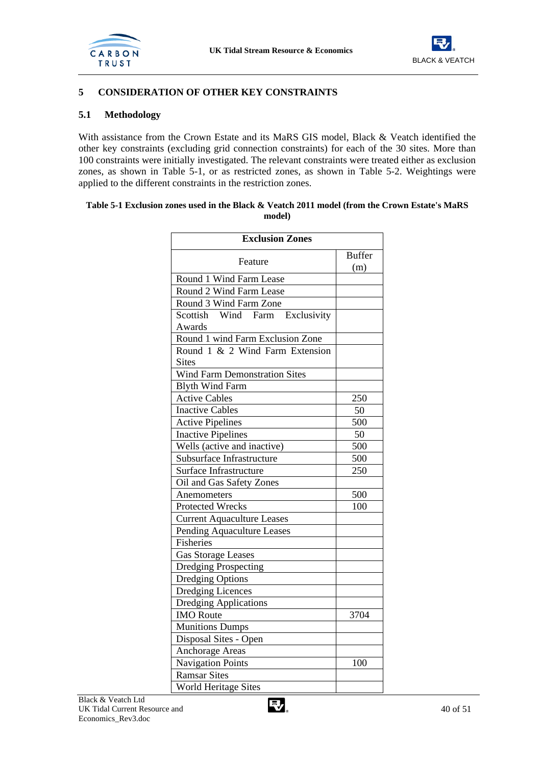![](_page_41_Picture_1.jpeg)

![](_page_41_Picture_2.jpeg)

## **5 CONSIDERATION OF OTHER KEY CONSTRAINTS**

#### **5.1 Methodology**

With assistance from the Crown Estate and its MaRS GIS model, Black & Veatch identified the other key constraints (excluding grid connection constraints) for each of the 30 sites. More than 100 constraints were initially investigated. The relevant constraints were treated either as exclusion zones, as shown in Table 5-1, or as restricted zones, as shown in Table 5-2. Weightings were applied to the different constraints in the restriction zones.

#### **Table 5-1 Exclusion zones used in the Black & Veatch 2011 model (from the Crown Estate's MaRS model)**

| <b>Exclusion Zones</b>               |               |  |  |  |
|--------------------------------------|---------------|--|--|--|
| Feature                              | <b>Buffer</b> |  |  |  |
|                                      | (m)           |  |  |  |
| Round 1 Wind Farm Lease              |               |  |  |  |
| Round 2 Wind Farm Lease              |               |  |  |  |
| Round 3 Wind Farm Zone               |               |  |  |  |
| Scottish Wind Farm<br>Exclusivity    |               |  |  |  |
| Awards                               |               |  |  |  |
| Round 1 wind Farm Exclusion Zone     |               |  |  |  |
| Round 1 & 2 Wind Farm Extension      |               |  |  |  |
| <b>Sites</b>                         |               |  |  |  |
| <b>Wind Farm Demonstration Sites</b> |               |  |  |  |
| <b>Blyth Wind Farm</b>               |               |  |  |  |
| <b>Active Cables</b>                 | 250           |  |  |  |
| <b>Inactive Cables</b>               | 50            |  |  |  |
| <b>Active Pipelines</b>              | 500           |  |  |  |
| <b>Inactive Pipelines</b>            | 50            |  |  |  |
| Wells (active and inactive)          | 500           |  |  |  |
| Subsurface Infrastructure            | 500           |  |  |  |
| Surface Infrastructure               | 250           |  |  |  |
| Oil and Gas Safety Zones             |               |  |  |  |
| Anemometers                          | 500           |  |  |  |
| <b>Protected Wrecks</b>              | 100           |  |  |  |
| <b>Current Aquaculture Leases</b>    |               |  |  |  |
| Pending Aquaculture Leases           |               |  |  |  |
| Fisheries                            |               |  |  |  |
| <b>Gas Storage Leases</b>            |               |  |  |  |
| <b>Dredging Prospecting</b>          |               |  |  |  |
| <b>Dredging Options</b>              |               |  |  |  |
| <b>Dredging Licences</b>             |               |  |  |  |
| <b>Dredging Applications</b>         |               |  |  |  |
| <b>IMO</b> Route                     | 3704          |  |  |  |
| <b>Munitions Dumps</b>               |               |  |  |  |
| Disposal Sites - Open                |               |  |  |  |
| Anchorage Areas                      |               |  |  |  |
| <b>Navigation Points</b>             | 100           |  |  |  |
| <b>Ramsar Sites</b>                  |               |  |  |  |
| <b>World Heritage Sites</b>          |               |  |  |  |

![](_page_41_Picture_9.jpeg)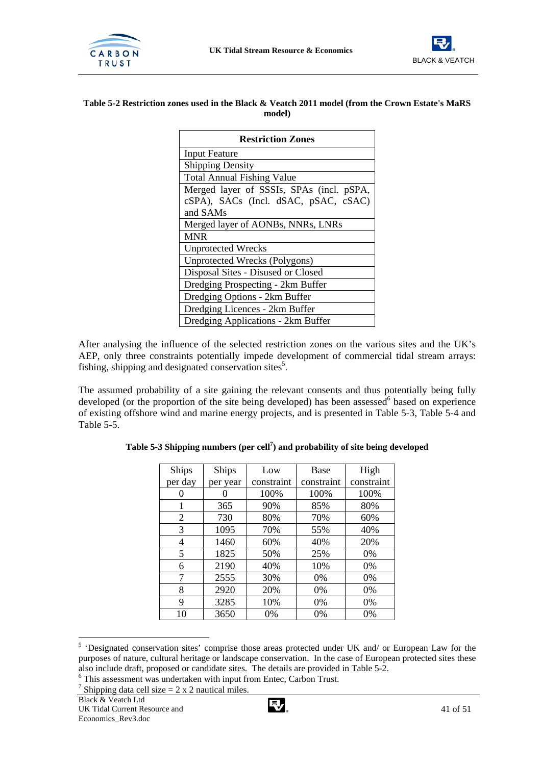![](_page_42_Picture_1.jpeg)

![](_page_42_Picture_2.jpeg)

#### **Table 5-2 Restriction zones used in the Black & Veatch 2011 model (from the Crown Estate's MaRS model)**

| <b>Restriction Zones</b>                 |
|------------------------------------------|
| <b>Input Feature</b>                     |
| <b>Shipping Density</b>                  |
| <b>Total Annual Fishing Value</b>        |
| Merged layer of SSSIs, SPAs (incl. pSPA, |
| cSPA), SACs (Incl. dSAC, pSAC, cSAC)     |
| and SAMs                                 |
| Merged layer of AONBs, NNRs, LNRs        |
| <b>MNR</b>                               |
| <b>Unprotected Wrecks</b>                |
| Unprotected Wrecks (Polygons)            |
| Disposal Sites - Disused or Closed       |
| Dredging Prospecting - 2km Buffer        |
| Dredging Options - 2km Buffer            |
| Dredging Licences - 2km Buffer           |
| Dredging Applications - 2km Buffer       |

After analysing the influence of the selected restriction zones on the various sites and the UK's AEP, only three constraints potentially impede development of commercial tidal stream arrays: fishing, shipping and designated conservation sites $5$ .

The assumed probability of a site gaining the relevant consents and thus potentially being fully developed (or the proportion of the site being developed) has been assessed  $\delta$  based on experience of existing offshore wind and marine energy projects, and is presented in Table 5-3, Table 5-4 and Table 5-5.

| Ships   | Ships    | Low        | <b>Base</b> | High       |
|---------|----------|------------|-------------|------------|
| per day | per year | constraint | constraint  | constraint |
|         |          | 100%       | 100%        | 100%       |
|         | 365      | 90%        | 85%         | 80%        |
| 2       | 730      | 80%        | 70%         | 60%        |
| 3       | 1095     | 70%        | 55%         | 40%        |
| 4       | 1460     | 60%        | 40%         | 20%        |
| 5       | 1825     | 50%        | 25%         | 0%         |
| 6       | 2190     | 40%        | 10%         | 0%         |
| 7       | 2555     | 30%        | 0%          | 0%         |
| 8       | 2920     | 20%        | 0%          | 0%         |
| 9       | 3285     | 10%        | 0%          | 0%         |
| 10      | 3650     | 0%         | 0%          | 0%         |

**Table 5-3 Shipping numbers (per cell7 ) and probability of site being developed** 

![](_page_42_Picture_13.jpeg)

<sup>&</sup>lt;sup>5</sup> 'Designated conservation sites' comprise those areas protected under UK and/ or European Law for the purposes of nature, cultural heritage or landscape conservation. In the case of European protected sites these also include draft, proposed or candidate sites. The details are provided in Table 5-2.<br>
<sup>6</sup> This assessment was undertaken with input from Entec, Carbon Trust.<br>
<sup>7</sup> Shipping data call size – 2 x 2 pouticel miles.

<sup>&</sup>lt;sup>7</sup> Shipping data cell size =  $2 \times 2$  nautical miles.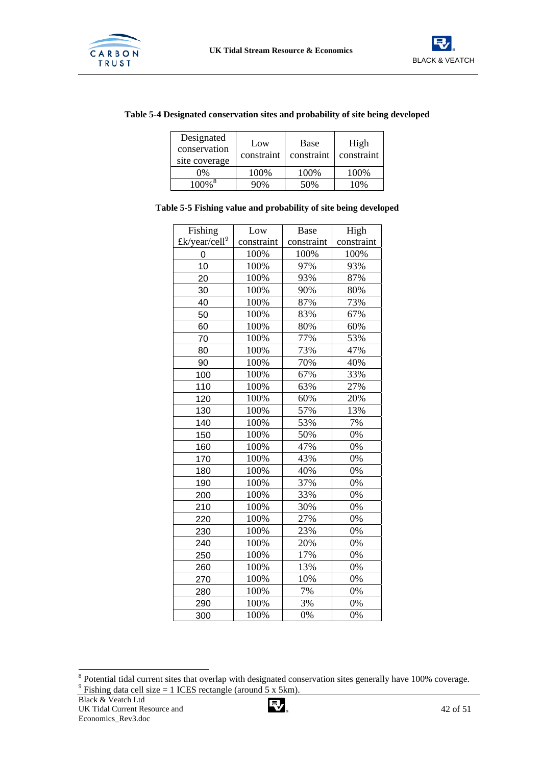![](_page_43_Picture_1.jpeg)

![](_page_43_Picture_2.jpeg)

## **Table 5-4 Designated conservation sites and probability of site being developed**

| Designated<br>conservation<br>site coverage | Low<br>constraint | Base<br>constraint | High<br>constraint |
|---------------------------------------------|-------------------|--------------------|--------------------|
| $0\%$                                       | 100%              | 100%               | 100%               |
| $100\%$ <sup>8</sup>                        | 90%               | 50%                | 10%                |

#### **Table 5-5 Fishing value and probability of site being developed**

| Fishing                   | Low        | Base       | High       |
|---------------------------|------------|------------|------------|
| £k/year/cell <sup>9</sup> | constraint | constraint | constraint |
| 0                         | 100%       | 100%       | 100%       |
| 10                        | 100%       | 97%        | 93%        |
| 20                        | 100%       | 93%        | 87%        |
| 30                        | 100%       | 90%        | 80%        |
| 40                        | 100%       | 87%        | 73%        |
| 50                        | 100%       | 83%        | 67%        |
| 60                        | 100%       | 80%        | 60%        |
| 70                        | 100%       | 77%        | 53%        |
| 80                        | 100%       | 73%        | 47%        |
| 90                        | 100%       | 70%        | 40%        |
| 100                       | 100%       | 67%        | 33%        |
| 110                       | 100%       | 63%        | 27%        |
| 120                       | 100%       | 60%        | 20%        |
| 130                       | 100%       | 57%        | 13%        |
| 140                       | 100%       | 53%        | 7%         |
| 150                       | 100%       | 50%        | 0%         |
| 160                       | 100%       | 47%        | 0%         |
| 170                       | 100%       | 43%        | 0%         |
| 180                       | 100%       | 40%        | 0%         |
| 190                       | 100%       | 37%        | 0%         |
| 200                       | 100%       | 33%        | 0%         |
| 210                       | 100%       | 30%        | 0%         |
| 220                       | 100%       | 27%        | 0%         |
| 230                       | 100%       | 23%        | 0%         |
| 240                       | 100%       | 20%        | 0%         |
| 250                       | 100%       | 17%        | 0%         |
| 260                       | 100%       | 13%        | 0%         |
| 270                       | 100%       | 10%        | 0%         |
| 280                       | 100%       | 7%         | 0%         |
| 290                       | 100%       | 3%         | 0%         |
| 300                       | 100%       | 0%         | 0%         |

![](_page_43_Picture_9.jpeg)

<sup>&</sup>lt;sup>8</sup> Potential tidal current sites that overlap with designated conservation sites generally have 100% coverage. Fishing data cell size  $= 1$  ICES rectangle (around 5 x 5km).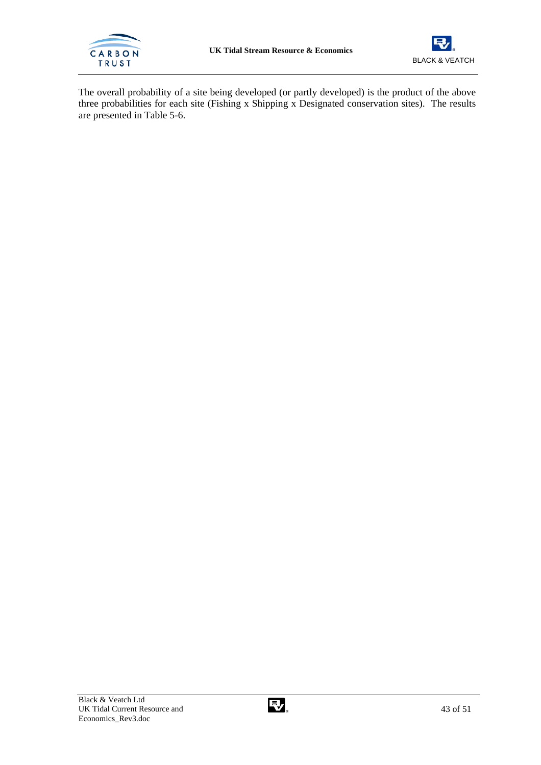![](_page_44_Picture_0.jpeg)

![](_page_44_Picture_2.jpeg)

The overall probability of a site being developed (or partly developed) is the product of the above three probabilities for each site (Fishing x Shipping x Designated conservation sites). The results are presented in Table 5-6.

![](_page_44_Picture_5.jpeg)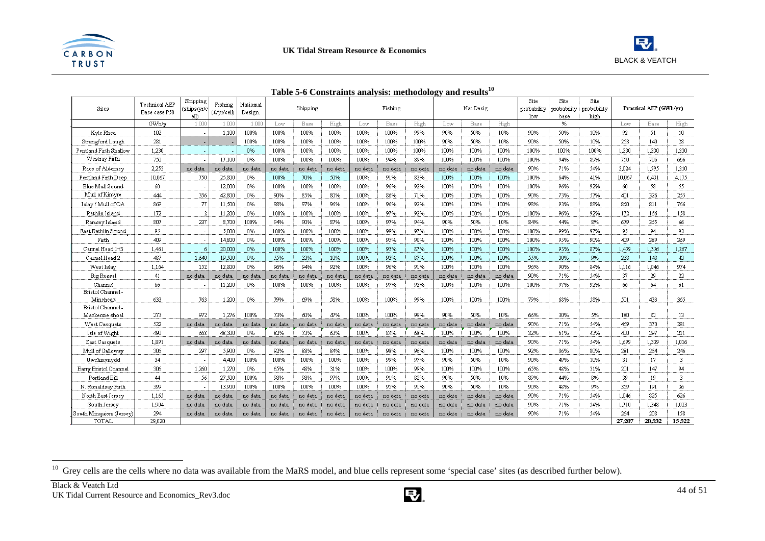![](_page_45_Picture_0.jpeg)

![](_page_45_Picture_2.jpeg)

| Sites                         | Technical AEP<br>Base case P50 | Shipping<br>(ships/yr/c | Fishing<br>$(E/\text{yr}/\text{cell})$ | Natiomal<br>Design. |         | Shipping |         |         | Fishing |         |         | Nat Desig |         | Site<br>probability | Site<br>probability | Site<br>probability |        | Practical AEP (GWh/yr) |                 |
|-------------------------------|--------------------------------|-------------------------|----------------------------------------|---------------------|---------|----------|---------|---------|---------|---------|---------|-----------|---------|---------------------|---------------------|---------------------|--------|------------------------|-----------------|
|                               | GWh/v                          | elh<br>1.000            | 1,000                                  | 1.000               | Low     | Base     | High    | Low     | Base    | High    | Low     | Base      | High    | low                 | base<br>%           | high                | Low    | Base                   | High            |
| Kyle Rhea                     | 102                            |                         | 1,100                                  | 100%                | 100%    | 100%     | 100%    | 100%    | 100%    | 99%     | 90%     | 50%       | 10%     | 90%                 | 50%                 | 10%                 | 92     | 51                     | 10 <sub>1</sub> |
| Strangford Lough              | 281                            |                         |                                        | 100%                | 100%    | 100%     | 100%    | 100%    | 100%    | 100%    | 90%     | 50%       | 10%     | 90%                 | 50%                 | 10%                 | 253    | 140                    | 28              |
| Pentland Firth Shallow        | 1.230                          |                         |                                        | 0%                  | 100%    | 100%     | 100%    | 100%    | 100%    | 100%    | 100%    | 100%      | 100%    | 100%                | 100%                | 100%                | 1,230  | 1,230                  | 1,230           |
| Westray Firth                 | 750                            |                         | 17,100                                 | 0%                  | 100%    | 100%     | 100%    | 100%    | 94%     | 89%     | 100%    | 100%      | 100%    | 100%                | 94%                 | 89%                 | 750    | 706                    | 666             |
| Race of Alderney              | 2,253                          | no data                 | no data                                | no data             | no data | no data  | no data | no data | no data | no data | no data | no data   | no data | 90%                 | 71%                 | 54%                 | 2,024  | 1,595                  | 1,210           |
| Pentland Firth Deep           | 10,067                         | 750                     | 25,800                                 | 0%                  | 100%    | 70%      | 50%     | 100%    | 91%     | 83%     | 100%    | 100%      | 100%    | 100%                | 64%                 | 41%                 | 10,067 | 6,431                  | 4,175           |
| Blue Mull Sound               | 60                             |                         | 12,000                                 | 0%                  | 100%    | 100%     | 100%    | 100%    | 96%     | 92%     | 100%    | 100%      | 100%    | 100%                | 96%                 | 92%                 | 60     | 58                     | 55              |
| Mull of Kintyre               | 444                            | 356                     | 42,800                                 | 0%                  | 90%     | 85%      | 80%     | 100%    | 86%     | 71%     | 100%    | 100%      | 100%    | 90%                 | 73%                 | 57%                 | 401    | 326                    | 255             |
| Islay / Mull of OA            | 869                            | 77                      | 11,500                                 | 0%                  | 98%     | 97%      | 96%     | 100%    | 96%     | 92%     | 100%    | 100%      | 100%    | 98%                 | 93%                 | 88%                 | 850    | 811                    | 766             |
| Rathlin Island                | 172                            | 2                       | 11,200                                 | 0%                  | 100%    | 100%     | 100%    | 100%    | 97%     | 92%     | 100%    | 100%      | 100%    | 100%                | 96%                 | 92%                 | 172    | 166                    | 158             |
| Ramsey Island                 | 807                            | 237                     | 8,700                                  | 100%                | 94%     | 90%      | 87%     | 100%    | 97%     | 94%     | 90%     | 50%       | 10%     | 84%                 | 44%                 | 8%                  | 679    | 355                    | 66              |
| East Rathlin Sound            | 95                             |                         | 5,000                                  | 0%                  | 100%    | 100%     | 100%    | 100%    | 99%     | 97%     | 100%    | 100%      | 100%    | 100%                | 99%                 | 97%                 | 95     | 94                     | 92              |
| Firth                         | 409                            |                         | 14,800                                 | 0%                  | 100%    | 100%     | 100%    | 100%    | 95%     | 90%     | 100%    | 100%      | 100%    | 100%                | 95%                 | 90%                 | 409    | 389                    | 369             |
| Carmel Head 1+3               | 1,461                          | 6                       | 20,000                                 | 0%                  | 100%    | 100%     | 100%    | 100%    | 93%     | 87%     | 100%    | 100%      | 100%    | 100%                | 93%                 | 87%                 | 1,459  | 1,356                  | 1,267           |
| Carmel Head 2                 | 487                            | 1,640                   | 19,500                                 | 0%                  | 55%     | 33%      | 10%     | 100%    | 93%     | 87%     | 100%    | 100%      | 100%    | 55%                 | 30%                 | 9%                  | 268    | 148                    | 43              |
| West Islay                    | 1,164                          | 152                     | 12,800                                 | 0%                  | 96%     | 94%      | 92%     | 100%    | 96%     | 91%     | 100%    | 100%      | 100%    | 96%                 | 90%                 | 84%                 | 1,116  | 1.046                  | 974             |
| <b>Big Russel</b>             | 41                             | no data                 | no data                                | no data             | no data | no data  | no data | no data | no data | no data | no data | no data   | no data | 90%                 | 71%                 | 54%                 | 37     | 29                     | 22              |
| Channel                       | 66                             |                         | 11,200                                 | 0%                  | 100%    | 100%     | 100%    | 100%    | 97%     | 92%     | 100%    | 100%      | 100%    | 100%                | 97%                 | 92%                 | 66     | 64                     | 61              |
| Bristol Channel -             |                                |                         |                                        |                     |         |          |         |         |         |         |         |           |         |                     |                     |                     |        |                        |                 |
| Minehead<br>Bristol Channel - | 633                            | 763                     | 1,200                                  | 0%                  | 79%     | 69%      | 58%     | 100%    | 100%    | 99%     | 100%    | 100%      | 100%    | 79%                 | 68%                 | 58%                 | 501    | 433                    | 365             |
| Mackenzie shoal               | 273                            | 972                     | 1,276                                  | 100%                | 73%     | 60%      | 47%     | 100%    | 100%    | 99%     | 90%     | 50%       | 10%     | 66%                 | 30%                 | 5%                  | 180    | 82                     | 13              |
| West Casquets                 | 522                            | no data                 | no data                                | no data             | no data | no data  | no data | no data | no data | no data | no data | no data   | no data | 90%                 | 71%                 | 54%                 | 469    | 370                    | 281             |
| Isle of Wight                 | 490                            | 668                     | 48,300                                 | 0%                  | 82%     | 73%      | 63%     | 100%    | 84%     | 68%     | 100%    | 100%      | 100%    | 82%                 | 61%                 | 43%                 | 400    | 297                    | 211             |
| East Casquets                 | 1,891                          | no data                 | no data                                | no data             | no data | no data  | no data | no data | no data | no data | no data | no data   | no data | 90%                 | 71%                 | 54%                 | 1,699  | 1,339                  | 1,016           |
| Mull of Galloway              | 306                            | 297                     | 5,900                                  | 0%                  | 92%     | 88%      | 84%     | 100%    | 98%     | 96%     | 100%    | 100%      | 100%    | 92%                 | 86%                 | 80%                 | 281    | 264                    | 246             |
| Uwchmynydd                    | 34                             |                         | 4.400                                  | 100%                | 100%    | 100%     | 100%    | 100%    | 99%     | 97%     | 90%     | 50%       | 10%     | 90%                 | 49%                 | 10%                 | 31     | 17                     | 3.              |
| Barry Bristol Channel         | 306                            | 1,260                   | 1,270                                  | 0%                  | 65%     | 48%      | 31%     | 100%    | 100%    | 99%     | 100%    | 100%      | 100%    | 65%                 | 48%                 | 31%                 | 201    | 147                    | 94              |
| Portland Bill                 | 44                             | 56                      | 27,500                                 | 100%                | 98%     | 98%      | 97%     | 100%    | 91%     | 82%     | 90%     | 50%       | 10%     | 89%                 | 44%                 | 8%                  | 39     | 19                     | 3               |
| N. Ronaldsay Firth            | 399                            |                         | 13,900                                 | 100%                | 100%    | 100%     | 100%    | 100%    | 95%     | 91%     | 90%     | 50%       | 10%     | 90%                 | 48%                 | 9%                  | 359    | 191                    | 36              |
| North East Jersey             | 1,165                          | no data                 | no data                                | no data             | no data | no data  | no data | no data | no data | no data | no data | no data   | no data | 90%                 | 71%                 | 54%                 | 1.046  | 825                    | 626             |
| South Jersey                  | 1,904                          | no data                 | no data                                | no data             | no data | no data  | no data | no data | no data | no data | no data | no data   | no data | 90%                 | 71%                 | 54%                 | 1,710  | 1,348                  | 1,023           |
| South Minquiers (Jersey)      | 294                            | no data                 | no data                                | no data             | no data | no data  | no data | no data | no data | no data | no data | no data   | no data | 90%                 | 71%                 | 54%                 | 264    | 208                    | 158             |
| TOTAL                         | 29.020                         |                         |                                        |                     |         |          |         |         |         |         |         |           |         |                     |                     |                     | 27.207 | 20.532                 | 15.522          |

## **Table 5-6 Constraints analysis: methodology and results<sup>10</sup>**

 $\frac{10}{10}$  Grey cells are the cells where no data was available from the MaRS model, and blue cells represent some 'special case' sites (as described further below).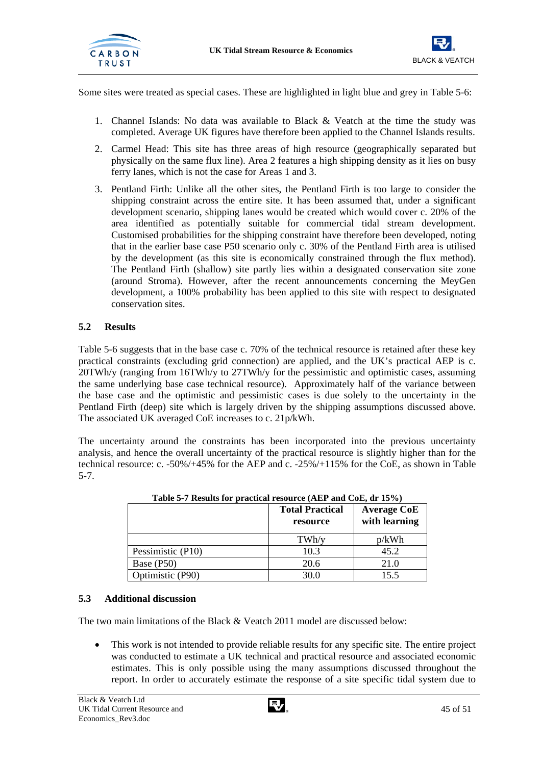![](_page_46_Picture_0.jpeg)

![](_page_46_Picture_2.jpeg)

Some sites were treated as special cases. These are highlighted in light blue and grey in Table 5-6:

- 1. Channel Islands: No data was available to Black & Veatch at the time the study was completed. Average UK figures have therefore been applied to the Channel Islands results.
- 2. Carmel Head: This site has three areas of high resource (geographically separated but physically on the same flux line). Area 2 features a high shipping density as it lies on busy ferry lanes, which is not the case for Areas 1 and 3.
- 3. Pentland Firth: Unlike all the other sites, the Pentland Firth is too large to consider the shipping constraint across the entire site. It has been assumed that, under a significant development scenario, shipping lanes would be created which would cover c. 20% of the area identified as potentially suitable for commercial tidal stream development. Customised probabilities for the shipping constraint have therefore been developed, noting that in the earlier base case P50 scenario only c. 30% of the Pentland Firth area is utilised by the development (as this site is economically constrained through the flux method). The Pentland Firth (shallow) site partly lies within a designated conservation site zone (around Stroma). However, after the recent announcements concerning the MeyGen development, a 100% probability has been applied to this site with respect to designated conservation sites.

## **5.2 Results**

Table 5-6 suggests that in the base case c. 70% of the technical resource is retained after these key practical constraints (excluding grid connection) are applied, and the UK's practical AEP is c. 20TWh/y (ranging from 16TWh/y to 27TWh/y for the pessimistic and optimistic cases, assuming the same underlying base case technical resource). Approximately half of the variance between the base case and the optimistic and pessimistic cases is due solely to the uncertainty in the Pentland Firth (deep) site which is largely driven by the shipping assumptions discussed above. The associated UK averaged CoE increases to c. 21p/kWh.

The uncertainty around the constraints has been incorporated into the previous uncertainty analysis, and hence the overall uncertainty of the practical resource is slightly higher than for the technical resource: c. -50%/+45% for the AEP and c. -25%/+115% for the CoE, as shown in Table 5-7.

| Table 5-7 Results for practical resource (ALT and CoL, ur 15 %) | <b>Total Practical</b><br>resource | <b>Average CoE</b><br>with learning |
|-----------------------------------------------------------------|------------------------------------|-------------------------------------|
|                                                                 | TWh/y                              | p/kWh                               |
| Pessimistic (P10)                                               | 10.3                               | 45.2                                |
| Base (P50)                                                      | 20.6                               | 21.0                                |
| Optimistic (P90)                                                | 30.0                               | 15.5                                |

| Table 5-7 Results for practical resource (AEP and CoE, dr 15%) |  |  |  |  |
|----------------------------------------------------------------|--|--|--|--|
|                                                                |  |  |  |  |

## **5.3 Additional discussion**

The two main limitations of the Black & Veatch 2011 model are discussed below:

• This work is not intended to provide reliable results for any specific site. The entire project was conducted to estimate a UK technical and practical resource and associated economic estimates. This is only possible using the many assumptions discussed throughout the report. In order to accurately estimate the response of a site specific tidal system due to

![](_page_46_Picture_16.jpeg)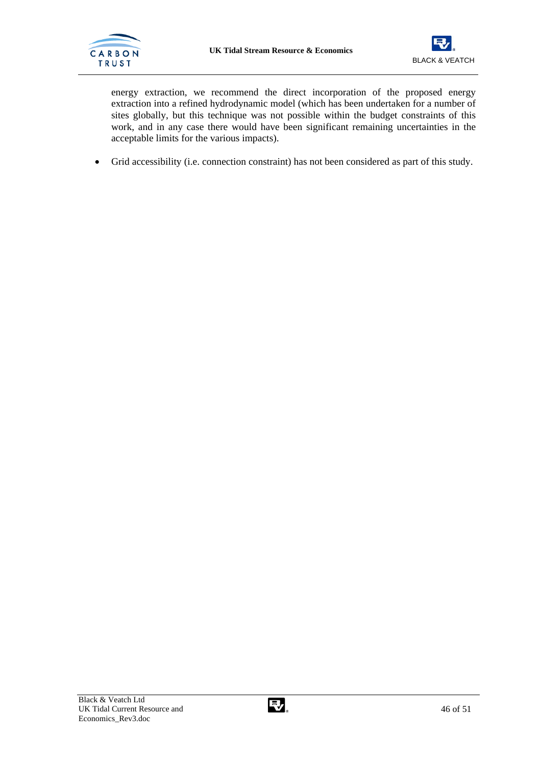![](_page_47_Picture_0.jpeg)

![](_page_47_Picture_2.jpeg)

energy extraction, we recommend the direct incorporation of the proposed energy extraction into a refined hydrodynamic model (which has been undertaken for a number of sites globally, but this technique was not possible within the budget constraints of this work, and in any case there would have been significant remaining uncertainties in the acceptable limits for the various impacts).

• Grid accessibility (i.e. connection constraint) has not been considered as part of this study.

![](_page_47_Picture_6.jpeg)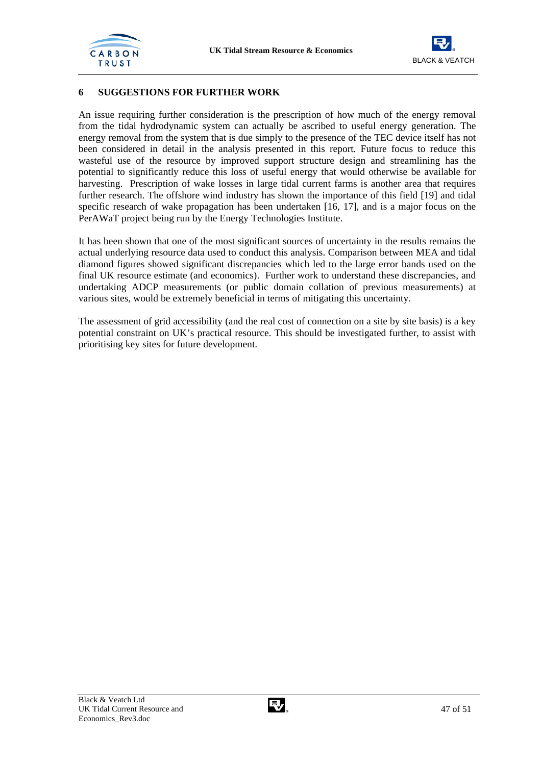![](_page_48_Picture_0.jpeg)

![](_page_48_Picture_2.jpeg)

## **6 SUGGESTIONS FOR FURTHER WORK**

An issue requiring further consideration is the prescription of how much of the energy removal from the tidal hydrodynamic system can actually be ascribed to useful energy generation. The energy removal from the system that is due simply to the presence of the TEC device itself has not been considered in detail in the analysis presented in this report. Future focus to reduce this wasteful use of the resource by improved support structure design and streamlining has the potential to significantly reduce this loss of useful energy that would otherwise be available for harvesting. Prescription of wake losses in large tidal current farms is another area that requires further research. The offshore wind industry has shown the importance of this field [19] and tidal specific research of wake propagation has been undertaken [16, 17], and is a major focus on the PerAWaT project being run by the Energy Technologies Institute.

It has been shown that one of the most significant sources of uncertainty in the results remains the actual underlying resource data used to conduct this analysis. Comparison between MEA and tidal diamond figures showed significant discrepancies which led to the large error bands used on the final UK resource estimate (and economics). Further work to understand these discrepancies, and undertaking ADCP measurements (or public domain collation of previous measurements) at various sites, would be extremely beneficial in terms of mitigating this uncertainty.

The assessment of grid accessibility (and the real cost of connection on a site by site basis) is a key potential constraint on UK's practical resource. This should be investigated further, to assist with prioritising key sites for future development.

![](_page_48_Picture_8.jpeg)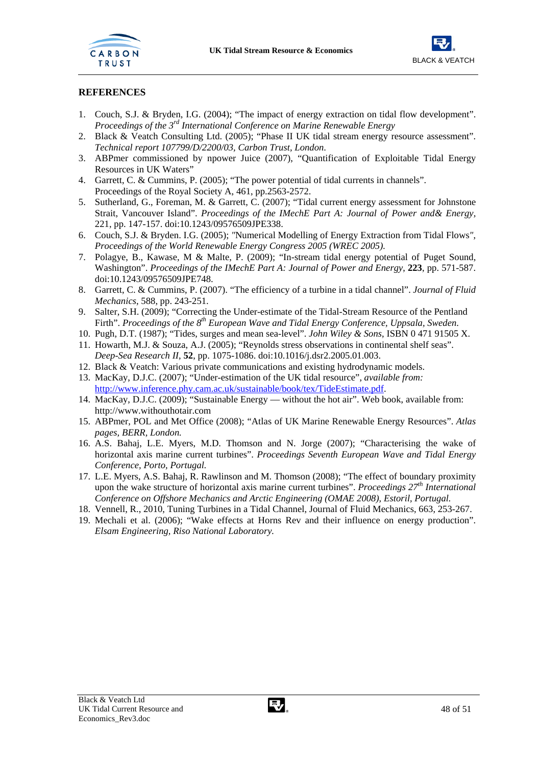![](_page_49_Picture_0.jpeg)

![](_page_49_Picture_2.jpeg)

## **REFERENCES**

- 1. Couch, S.J. & Bryden, I.G. (2004); "The impact of energy extraction on tidal flow development". *Proceedings of the 3rd International Conference on Marine Renewable Energy*
- 2. Black & Veatch Consulting Ltd. (2005); "Phase II UK tidal stream energy resource assessment". *Technical report 107799/D/2200/03, Carbon Trust, London*.
- 3. ABPmer commissioned by npower Juice (2007), "Quantification of Exploitable Tidal Energy Resources in UK Waters"
- 4. Garrett, C. & Cummins, P. (2005); "The power potential of tidal currents in channels". Proceedings of the Royal Society A, 461, pp.2563-2572.
- 5. Sutherland, G., Foreman, M. & Garrett, C. (2007); "Tidal current energy assessment for Johnstone Strait, Vancouver Island". *Proceedings of the IMechE Part A: Journal of Power and& Energy,*  221, pp. 147-157. doi:10.1243/09576509JPE338.
- 6. Couch, S.J. & Bryden. I.G. (2005); *"*Numerical Modelling of Energy Extraction from Tidal Flows*"*, *Proceedings of the World Renewable Energy Congress 2005 (WREC 2005).*
- 7. Polagye, B., Kawase, M & Malte, P. (2009); "In-stream tidal energy potential of Puget Sound, Washington". *Proceedings of the IMechE Part A: Journal of Power and Energy*, **223**, pp. 571-587. doi:10.1243/09576509JPE748.
- 8. Garrett, C. & Cummins, P. (2007). "The efficiency of a turbine in a tidal channel". *Journal of Fluid Mechanics*, 588, pp. 243-251.
- 9. Salter, S.H. (2009); "Correcting the Under-estimate of the Tidal-Stream Resource of the Pentland Firth". *Proceedings of the 8th European Wave and Tidal Energy Conference, Uppsala, Sweden*.
- 10. Pugh, D.T. (1987); "Tides, surges and mean sea-level". *John Wiley & Sons*, ISBN 0 471 91505 X.
- 11. Howarth, M.J. & Souza, A.J. (2005); "Reynolds stress observations in continental shelf seas". *Deep-Sea Research II*, **52**, pp. 1075-1086. doi:10.1016/j.dsr2.2005.01.003.
- 12. Black & Veatch: Various private communications and existing hydrodynamic models.
- 13. MacKay, D.J.C. (2007); "Under-estimation of the UK tidal resource", *available from:*  http://www.inference.phy.cam.ac.uk/sustainable/book/tex/TideEstimate.pdf.
- 14. MacKay, D.J.C. (2009); "Sustainable Energy without the hot air". Web book, available from: http://www.withouthotair.com
- 15. ABPmer, POL and Met Office (2008); "Atlas of UK Marine Renewable Energy Resources". *Atlas pages, BERR, London.*
- 16. A.S. Bahaj, L.E. Myers, M.D. Thomson and N. Jorge (2007); "Characterising the wake of horizontal axis marine current turbines". *Proceedings Seventh European Wave and Tidal Energy Conference, Porto, Portugal.*
- 17. L.E. Myers, A.S. Bahaj, R. Rawlinson and M. Thomson (2008); "The effect of boundary proximity upon the wake structure of horizontal axis marine current turbines". *Proceedings 27th International Conference on Offshore Mechanics and Arctic Engineering (OMAE 2008), Estoril, Portugal.*
- 18. Vennell, R., 2010, Tuning Turbines in a Tidal Channel, Journal of Fluid Mechanics, 663, 253-267.
- 19. Mechali et al. (2006); "Wake effects at Horns Rev and their influence on energy production". *Elsam Engineering, Riso National Laboratory.*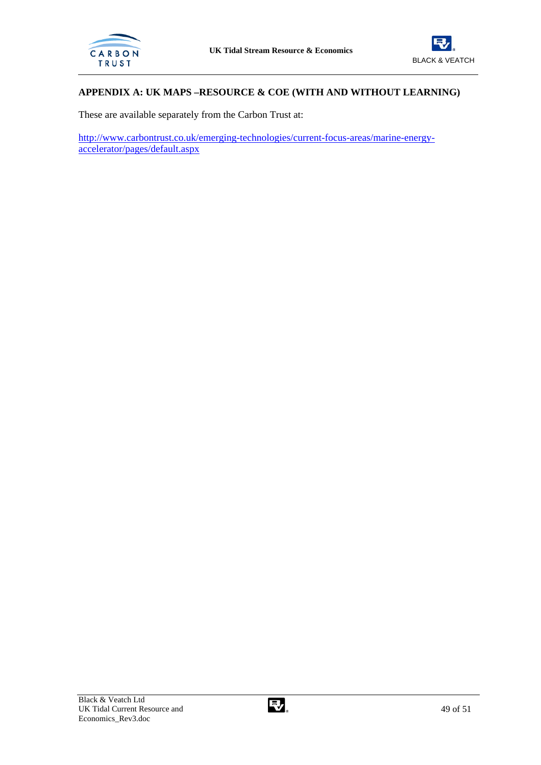![](_page_50_Picture_0.jpeg)

![](_page_50_Picture_2.jpeg)

## **APPENDIX A: UK MAPS –RESOURCE & COE (WITH AND WITHOUT LEARNING)**

These are available separately from the Carbon Trust at:

http://www.carbontrust.co.uk/emerging-technologies/current-focus-areas/marine-energyaccelerator/pages/default.aspx

![](_page_50_Picture_7.jpeg)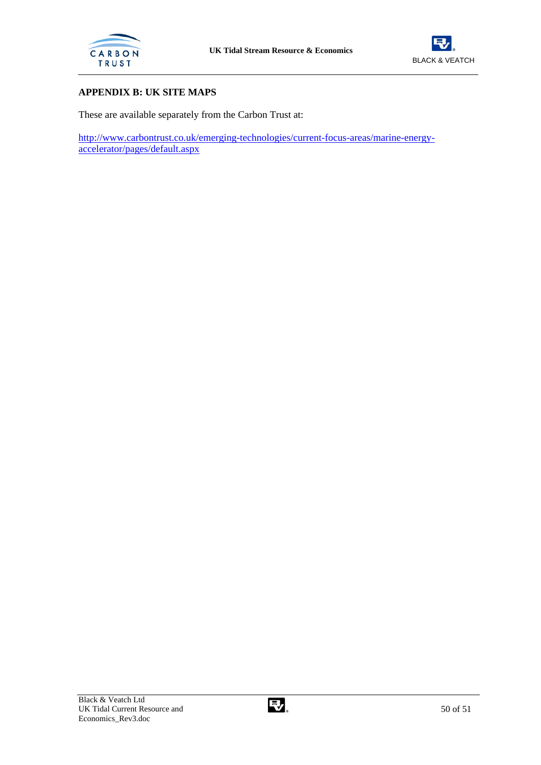![](_page_51_Picture_0.jpeg)

![](_page_51_Picture_2.jpeg)

## **APPENDIX B: UK SITE MAPS**

These are available separately from the Carbon Trust at:

http://www.carbontrust.co.uk/emerging-technologies/current-focus-areas/marine-energyaccelerator/pages/default.aspx

![](_page_51_Picture_7.jpeg)